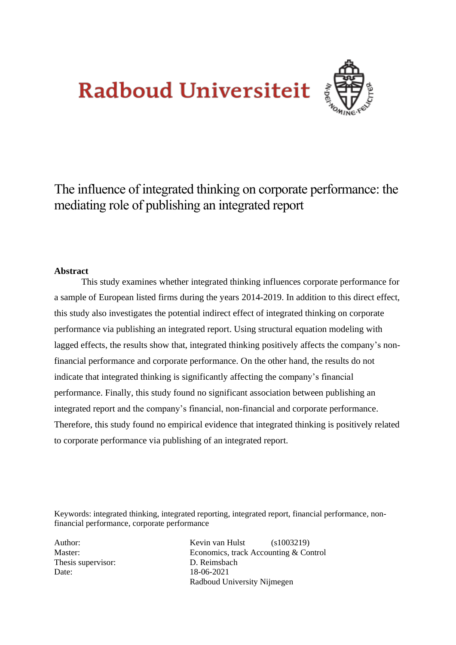# **Radboud Universiteit**



The influence of integrated thinking on corporate performance: the mediating role of publishing an integrated report

#### **Abstract**

This study examines whether integrated thinking influences corporate performance for a sample of European listed firms during the years 2014-2019. In addition to this direct effect, this study also investigates the potential indirect effect of integrated thinking on corporate performance via publishing an integrated report. Using structural equation modeling with lagged effects, the results show that, integrated thinking positively affects the company's nonfinancial performance and corporate performance. On the other hand, the results do not indicate that integrated thinking is significantly affecting the company's financial performance. Finally, this study found no significant association between publishing an integrated report and the company's financial, non-financial and corporate performance. Therefore, this study found no empirical evidence that integrated thinking is positively related to corporate performance via publishing of an integrated report.

Keywords: integrated thinking, integrated reporting, integrated report, financial performance, nonfinancial performance, corporate performance

Thesis supervisor: D. Reimsbach Date: 18-06-2021

Author: Kevin van Hulst (s1003219) Master: Economics, track Accounting & Control Radboud University Nijmegen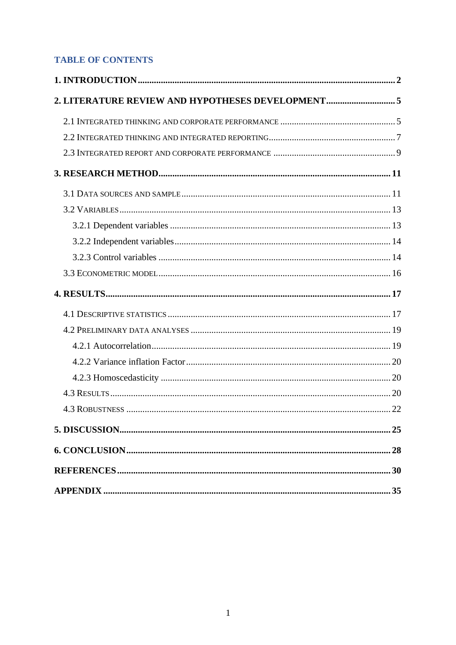## **TABLE OF CONTENTS**

| 2. LITERATURE REVIEW AND HYPOTHESES DEVELOPMENT5 |  |
|--------------------------------------------------|--|
|                                                  |  |
|                                                  |  |
|                                                  |  |
|                                                  |  |
|                                                  |  |
|                                                  |  |
|                                                  |  |
|                                                  |  |
|                                                  |  |
|                                                  |  |
|                                                  |  |
|                                                  |  |
|                                                  |  |
|                                                  |  |
|                                                  |  |
|                                                  |  |
|                                                  |  |
|                                                  |  |
|                                                  |  |
|                                                  |  |
|                                                  |  |
|                                                  |  |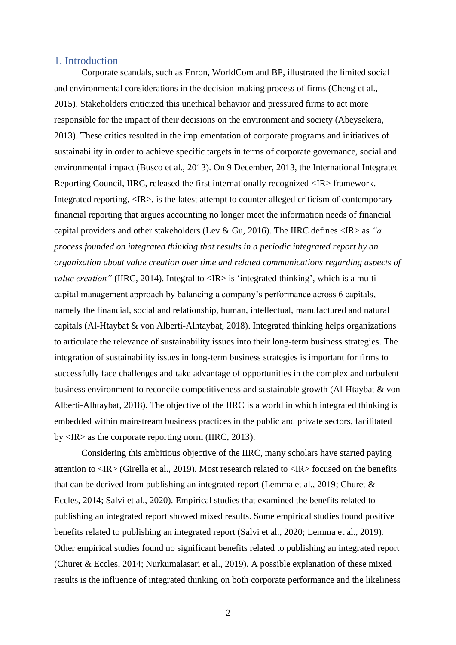#### <span id="page-2-0"></span>1. Introduction

Corporate scandals, such as Enron, WorldCom and BP, illustrated the limited social and environmental considerations in the decision-making process of firms (Cheng et al., 2015). Stakeholders criticized this unethical behavior and pressured firms to act more responsible for the impact of their decisions on the environment and society (Abeysekera, 2013). These critics resulted in the implementation of corporate programs and initiatives of sustainability in order to achieve specific targets in terms of corporate governance, social and environmental impact (Busco et al., 2013). On 9 December, 2013, the International Integrated Reporting Council, IIRC, released the first internationally recognized <IR> framework. Integrated reporting,  $\langle IR \rangle$ , is the latest attempt to counter alleged criticism of contemporary financial reporting that argues accounting no longer meet the information needs of financial capital providers and other stakeholders (Lev & Gu, 2016). The IIRC defines <IR> as *"a process founded on integrated thinking that results in a periodic integrated report by an organization about value creation over time and related communications regarding aspects of value creation*" (IIRC, 2014). Integral to <IR> is 'integrated thinking', which is a multicapital management approach by balancing a company's performance across 6 capitals, namely the financial, social and relationship, human, intellectual, manufactured and natural capitals (Al-Htaybat & von Alberti-Alhtaybat, 2018). Integrated thinking helps organizations to articulate the relevance of sustainability issues into their long-term business strategies. The integration of sustainability issues in long-term business strategies is important for firms to successfully face challenges and take advantage of opportunities in the complex and turbulent business environment to reconcile competitiveness and sustainable growth (Al-Htaybat & von Alberti-Alhtaybat, 2018). The objective of the IIRC is a world in which integrated thinking is embedded within mainstream business practices in the public and private sectors, facilitated by  $\langle IR \rangle$  as the corporate reporting norm (IIRC, 2013).

Considering this ambitious objective of the IIRC, many scholars have started paying attention to <IR> (Girella et al., 2019). Most research related to <IR> focused on the benefits that can be derived from publishing an integrated report (Lemma et al., 2019; Churet & Eccles, 2014; Salvi et al., 2020). Empirical studies that examined the benefits related to publishing an integrated report showed mixed results. Some empirical studies found positive benefits related to publishing an integrated report (Salvi et al., 2020; Lemma et al., 2019). Other empirical studies found no significant benefits related to publishing an integrated report (Churet & Eccles, 2014; Nurkumalasari et al., 2019). A possible explanation of these mixed results is the influence of integrated thinking on both corporate performance and the likeliness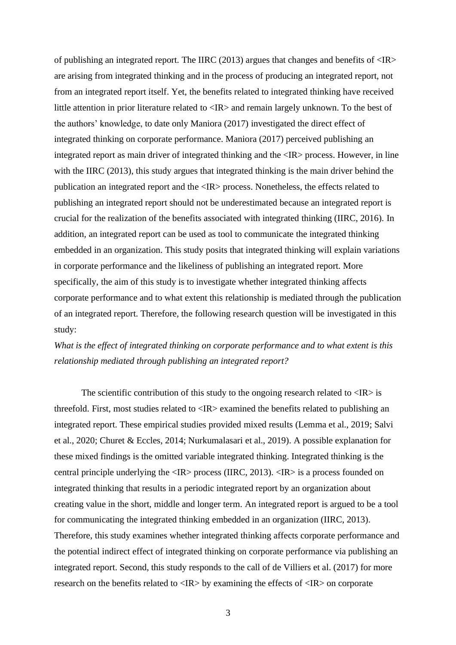of publishing an integrated report. The IIRC (2013) argues that changes and benefits of  $\langle IR \rangle$ are arising from integrated thinking and in the process of producing an integrated report, not from an integrated report itself. Yet, the benefits related to integrated thinking have received little attention in prior literature related to <IR> and remain largely unknown. To the best of the authors' knowledge, to date only Maniora (2017) investigated the direct effect of integrated thinking on corporate performance. Maniora (2017) perceived publishing an integrated report as main driver of integrated thinking and the  $\langle IR \rangle$  process. However, in line with the IIRC (2013), this study argues that integrated thinking is the main driver behind the publication an integrated report and the <IR> process. Nonetheless, the effects related to publishing an integrated report should not be underestimated because an integrated report is crucial for the realization of the benefits associated with integrated thinking (IIRC, 2016). In addition, an integrated report can be used as tool to communicate the integrated thinking embedded in an organization. This study posits that integrated thinking will explain variations in corporate performance and the likeliness of publishing an integrated report. More specifically, the aim of this study is to investigate whether integrated thinking affects corporate performance and to what extent this relationship is mediated through the publication of an integrated report. Therefore, the following research question will be investigated in this study:

*What is the effect of integrated thinking on corporate performance and to what extent is this relationship mediated through publishing an integrated report?* 

The scientific contribution of this study to the ongoing research related to  $\langle IR \rangle$  is threefold. First, most studies related to <IR> examined the benefits related to publishing an integrated report. These empirical studies provided mixed results (Lemma et al., 2019; Salvi et al., 2020; Churet & Eccles, 2014; Nurkumalasari et al., 2019). A possible explanation for these mixed findings is the omitted variable integrated thinking. Integrated thinking is the central principle underlying the <IR> process (IIRC, 2013). <IR> is a process founded on integrated thinking that results in a periodic integrated report by an organization about creating value in the short, middle and longer term. An integrated report is argued to be a tool for communicating the integrated thinking embedded in an organization (IIRC, 2013). Therefore, this study examines whether integrated thinking affects corporate performance and the potential indirect effect of integrated thinking on corporate performance via publishing an integrated report. Second, this study responds to the call of de Villiers et al. (2017) for more research on the benefits related to <IR> by examining the effects of <IR> on corporate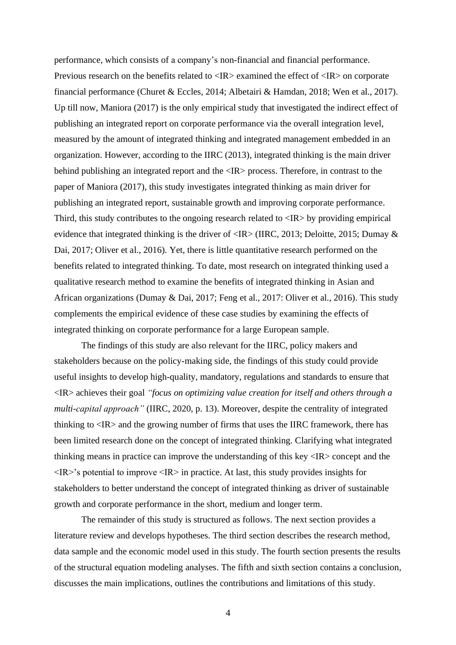performance, which consists of a company's non-financial and financial performance. Previous research on the benefits related to <IR> examined the effect of <IR> on corporate financial performance (Churet & Eccles, 2014; Albetairi & Hamdan, 2018; Wen et al., 2017). Up till now, Maniora (2017) is the only empirical study that investigated the indirect effect of publishing an integrated report on corporate performance via the overall integration level, measured by the amount of integrated thinking and integrated management embedded in an organization. However, according to the IIRC (2013), integrated thinking is the main driver behind publishing an integrated report and the <IR> process. Therefore, in contrast to the paper of Maniora (2017), this study investigates integrated thinking as main driver for publishing an integrated report, sustainable growth and improving corporate performance. Third, this study contributes to the ongoing research related to  $\langle IR \rangle$  by providing empirical evidence that integrated thinking is the driver of <IR> (IIRC, 2013; Deloitte, 2015; Dumay & Dai, 2017; Oliver et al., 2016). Yet, there is little quantitative research performed on the benefits related to integrated thinking. To date, most research on integrated thinking used a qualitative research method to examine the benefits of integrated thinking in Asian and African organizations (Dumay & Dai, 2017; Feng et al., 2017: Oliver et al., 2016). This study complements the empirical evidence of these case studies by examining the effects of integrated thinking on corporate performance for a large European sample.

The findings of this study are also relevant for the IIRC, policy makers and stakeholders because on the policy-making side, the findings of this study could provide useful insights to develop high-quality, mandatory, regulations and standards to ensure that <IR> achieves their goal *"focus on optimizing value creation for itself and others through a multi-capital approach"* (IIRC, 2020, p. 13). Moreover, despite the centrality of integrated thinking to <IR> and the growing number of firms that uses the IIRC framework, there has been limited research done on the concept of integrated thinking. Clarifying what integrated thinking means in practice can improve the understanding of this key <IR> concept and the  $\langle IR \rangle$ 's potential to improve  $\langle IR \rangle$  in practice. At last, this study provides insights for stakeholders to better understand the concept of integrated thinking as driver of sustainable growth and corporate performance in the short, medium and longer term.

The remainder of this study is structured as follows. The next section provides a literature review and develops hypotheses. The third section describes the research method, data sample and the economic model used in this study. The fourth section presents the results of the structural equation modeling analyses. The fifth and sixth section contains a conclusion, discusses the main implications, outlines the contributions and limitations of this study.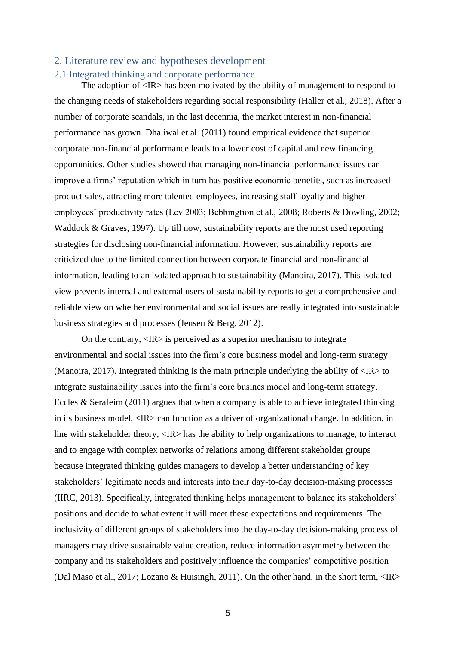## <span id="page-5-1"></span><span id="page-5-0"></span>2. Literature review and hypotheses development 2.1 Integrated thinking and corporate performance

The adoption of  $\langle IR \rangle$  has been motivated by the ability of management to respond to the changing needs of stakeholders regarding social responsibility (Haller et al., 2018). After a number of corporate scandals, in the last decennia, the market interest in non-financial performance has grown. Dhaliwal et al. (2011) found empirical evidence that superior corporate non-financial performance leads to a lower cost of capital and new financing opportunities. Other studies showed that managing non-financial performance issues can improve a firms' reputation which in turn has positive economic benefits, such as increased product sales, attracting more talented employees, increasing staff loyalty and higher employees' productivity rates (Lev 2003; Bebbingtion et al., 2008; Roberts & Dowling, 2002; Waddock & Graves, 1997). Up till now, sustainability reports are the most used reporting strategies for disclosing non-financial information. However, sustainability reports are criticized due to the limited connection between corporate financial and non-financial information, leading to an isolated approach to sustainability (Manoira, 2017). This isolated view prevents internal and external users of sustainability reports to get a comprehensive and reliable view on whether environmental and social issues are really integrated into sustainable business strategies and processes (Jensen & Berg, 2012).

On the contrary, <IR> is perceived as a superior mechanism to integrate environmental and social issues into the firm's core business model and long-term strategy (Manoira, 2017). Integrated thinking is the main principle underlying the ability of  $\langle IR \rangle$  to integrate sustainability issues into the firm's core busines model and long-term strategy. Eccles  $&$  Serafeim (2011) argues that when a company is able to achieve integrated thinking in its business model, <IR> can function as a driver of organizational change. In addition, in line with stakeholder theory, <IR> has the ability to help organizations to manage, to interact and to engage with complex networks of relations among different stakeholder groups because integrated thinking guides managers to develop a better understanding of key stakeholders' legitimate needs and interests into their day-to-day decision-making processes (IIRC, 2013). Specifically, integrated thinking helps management to balance its stakeholders' positions and decide to what extent it will meet these expectations and requirements. The inclusivity of different groups of stakeholders into the day-to-day decision-making process of managers may drive sustainable value creation, reduce information asymmetry between the company and its stakeholders and positively influence the companies' competitive position (Dal Maso et al., 2017; Lozano & Huisingh, 2011). On the other hand, in the short term, <IR>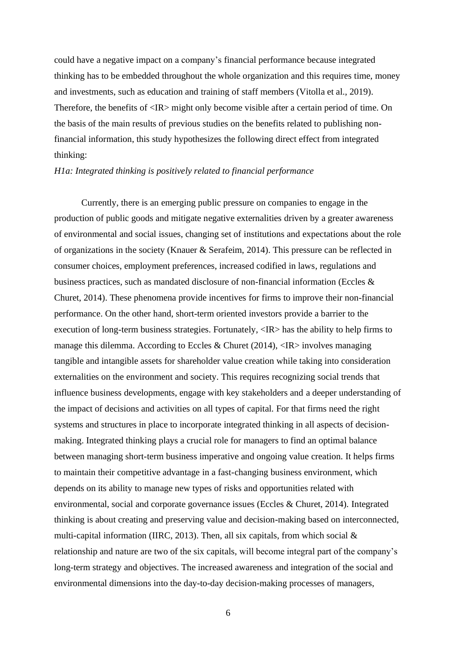could have a negative impact on a company's financial performance because integrated thinking has to be embedded throughout the whole organization and this requires time, money and investments, such as education and training of staff members (Vitolla et al., 2019). Therefore, the benefits of <IR> might only become visible after a certain period of time. On the basis of the main results of previous studies on the benefits related to publishing nonfinancial information, this study hypothesizes the following direct effect from integrated thinking:

#### *H1a: Integrated thinking is positively related to financial performance*

Currently, there is an emerging public pressure on companies to engage in the production of public goods and mitigate negative externalities driven by a greater awareness of environmental and social issues, changing set of institutions and expectations about the role of organizations in the society (Knauer & Serafeim, 2014). This pressure can be reflected in consumer choices, employment preferences, increased codified in laws, regulations and business practices, such as mandated disclosure of non-financial information (Eccles & Churet, 2014). These phenomena provide incentives for firms to improve their non-financial performance. On the other hand, short-term oriented investors provide a barrier to the execution of long-term business strategies. Fortunately, <IR> has the ability to help firms to manage this dilemma. According to Eccles & Churet (2014),  $\langle IR \rangle$  involves managing tangible and intangible assets for shareholder value creation while taking into consideration externalities on the environment and society. This requires recognizing social trends that influence business developments, engage with key stakeholders and a deeper understanding of the impact of decisions and activities on all types of capital. For that firms need the right systems and structures in place to incorporate integrated thinking in all aspects of decisionmaking. Integrated thinking plays a crucial role for managers to find an optimal balance between managing short-term business imperative and ongoing value creation. It helps firms to maintain their competitive advantage in a fast-changing business environment, which depends on its ability to manage new types of risks and opportunities related with environmental, social and corporate governance issues (Eccles & Churet, 2014). Integrated thinking is about creating and preserving value and decision-making based on interconnected, multi-capital information (IIRC, 2013). Then, all six capitals, from which social  $\&$ relationship and nature are two of the six capitals, will become integral part of the company's long-term strategy and objectives. The increased awareness and integration of the social and environmental dimensions into the day-to-day decision-making processes of managers,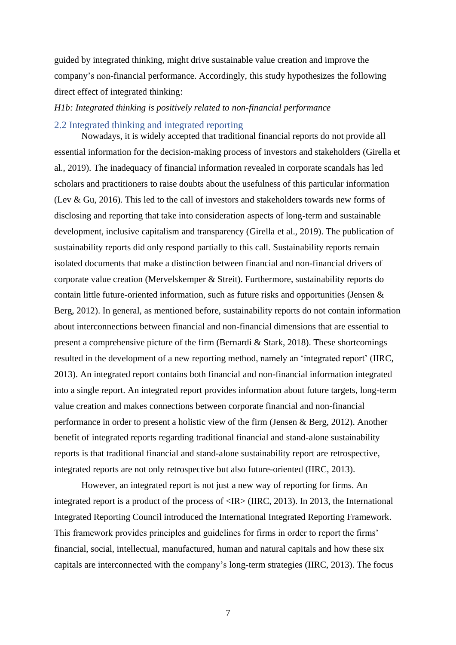guided by integrated thinking, might drive sustainable value creation and improve the company's non-financial performance. Accordingly, this study hypothesizes the following direct effect of integrated thinking:

#### *H1b: Integrated thinking is positively related to non-financial performance*

#### <span id="page-7-0"></span>2.2 Integrated thinking and integrated reporting

Nowadays, it is widely accepted that traditional financial reports do not provide all essential information for the decision-making process of investors and stakeholders (Girella et al., 2019). The inadequacy of financial information revealed in corporate scandals has led scholars and practitioners to raise doubts about the usefulness of this particular information (Lev & Gu, 2016). This led to the call of investors and stakeholders towards new forms of disclosing and reporting that take into consideration aspects of long-term and sustainable development, inclusive capitalism and transparency (Girella et al., 2019). The publication of sustainability reports did only respond partially to this call. Sustainability reports remain isolated documents that make a distinction between financial and non-financial drivers of corporate value creation (Mervelskemper & Streit). Furthermore, sustainability reports do contain little future-oriented information, such as future risks and opportunities (Jensen & Berg, 2012). In general, as mentioned before, sustainability reports do not contain information about interconnections between financial and non-financial dimensions that are essential to present a comprehensive picture of the firm (Bernardi & Stark, 2018). These shortcomings resulted in the development of a new reporting method, namely an 'integrated report' (IIRC, 2013). An integrated report contains both financial and non-financial information integrated into a single report. An integrated report provides information about future targets, long-term value creation and makes connections between corporate financial and non-financial performance in order to present a holistic view of the firm (Jensen & Berg, 2012). Another benefit of integrated reports regarding traditional financial and stand-alone sustainability reports is that traditional financial and stand-alone sustainability report are retrospective, integrated reports are not only retrospective but also future-oriented (IIRC, 2013).

However, an integrated report is not just a new way of reporting for firms. An integrated report is a product of the process of  $\langle IR \rangle$  (IIRC, 2013). In 2013, the International Integrated Reporting Council introduced the International Integrated Reporting Framework. This framework provides principles and guidelines for firms in order to report the firms' financial, social, intellectual, manufactured, human and natural capitals and how these six capitals are interconnected with the company's long-term strategies (IIRC, 2013). The focus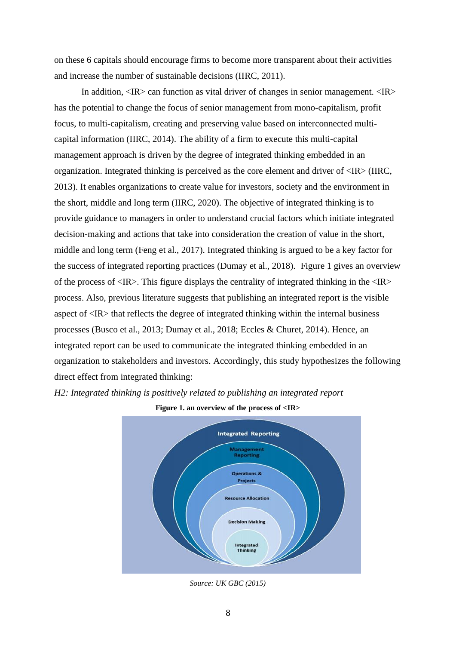on these 6 capitals should encourage firms to become more transparent about their activities and increase the number of sustainable decisions (IIRC, 2011).

In addition,  $\langle IR \rangle$  can function as vital driver of changes in senior management.  $\langle IR \rangle$ has the potential to change the focus of senior management from mono-capitalism, profit focus, to multi-capitalism, creating and preserving value based on interconnected multicapital information (IIRC, 2014). The ability of a firm to execute this multi-capital management approach is driven by the degree of integrated thinking embedded in an organization. Integrated thinking is perceived as the core element and driver of <IR> (IIRC, 2013). It enables organizations to create value for investors, society and the environment in the short, middle and long term (IIRC, 2020). The objective of integrated thinking is to provide guidance to managers in order to understand crucial factors which initiate integrated decision-making and actions that take into consideration the creation of value in the short, middle and long term (Feng et al., 2017). Integrated thinking is argued to be a key factor for the success of integrated reporting practices (Dumay et al., 2018). Figure 1 gives an overview of the process of  $\langle IR \rangle$ . This figure displays the centrality of integrated thinking in the  $\langle IR \rangle$ process. Also, previous literature suggests that publishing an integrated report is the visible aspect of <IR> that reflects the degree of integrated thinking within the internal business processes (Busco et al., 2013; Dumay et al., 2018; Eccles & Churet, 2014). Hence, an integrated report can be used to communicate the integrated thinking embedded in an organization to stakeholders and investors. Accordingly, this study hypothesizes the following direct effect from integrated thinking:

#### *H2: Integrated thinking is positively related to publishing an integrated report*



**Figure 1. an overview of the process of <IR>**

*Source: UK GBC (2015)*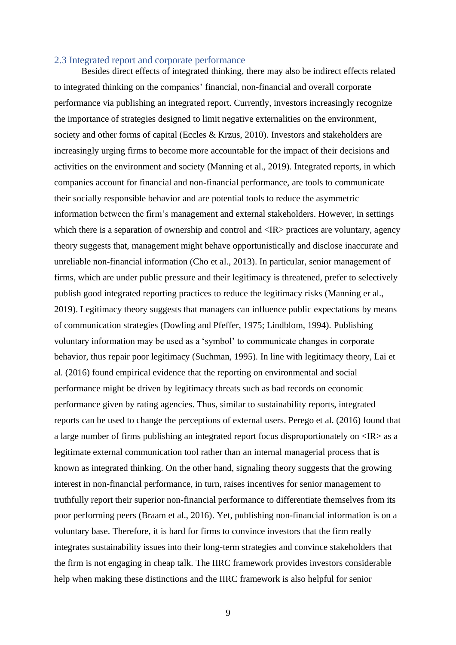#### <span id="page-9-0"></span>2.3 Integrated report and corporate performance

Besides direct effects of integrated thinking, there may also be indirect effects related to integrated thinking on the companies' financial, non-financial and overall corporate performance via publishing an integrated report. Currently, investors increasingly recognize the importance of strategies designed to limit negative externalities on the environment, society and other forms of capital (Eccles & Krzus, 2010). Investors and stakeholders are increasingly urging firms to become more accountable for the impact of their decisions and activities on the environment and society (Manning et al., 2019). Integrated reports, in which companies account for financial and non-financial performance, are tools to communicate their socially responsible behavior and are potential tools to reduce the asymmetric information between the firm's management and external stakeholders. However, in settings which there is a separation of ownership and control and  $\langle IR \rangle$  practices are voluntary, agency theory suggests that, management might behave opportunistically and disclose inaccurate and unreliable non-financial information (Cho et al., 2013). In particular, senior management of firms, which are under public pressure and their legitimacy is threatened, prefer to selectively publish good integrated reporting practices to reduce the legitimacy risks (Manning er al., 2019). Legitimacy theory suggests that managers can influence public expectations by means of communication strategies (Dowling and Pfeffer, 1975; Lindblom, 1994). Publishing voluntary information may be used as a 'symbol' to communicate changes in corporate behavior, thus repair poor legitimacy (Suchman, 1995). In line with legitimacy theory, Lai et al. (2016) found empirical evidence that the reporting on environmental and social performance might be driven by legitimacy threats such as bad records on economic performance given by rating agencies. Thus, similar to sustainability reports, integrated reports can be used to change the perceptions of external users. Perego et al. (2016) found that a large number of firms publishing an integrated report focus disproportionately on <IR> as a legitimate external communication tool rather than an internal managerial process that is known as integrated thinking. On the other hand, signaling theory suggests that the growing interest in non-financial performance, in turn, raises incentives for senior management to truthfully report their superior non-financial performance to differentiate themselves from its poor performing peers (Braam et al., 2016). Yet, publishing non-financial information is on a voluntary base. Therefore, it is hard for firms to convince investors that the firm really integrates sustainability issues into their long-term strategies and convince stakeholders that the firm is not engaging in cheap talk. The IIRC framework provides investors considerable help when making these distinctions and the IIRC framework is also helpful for senior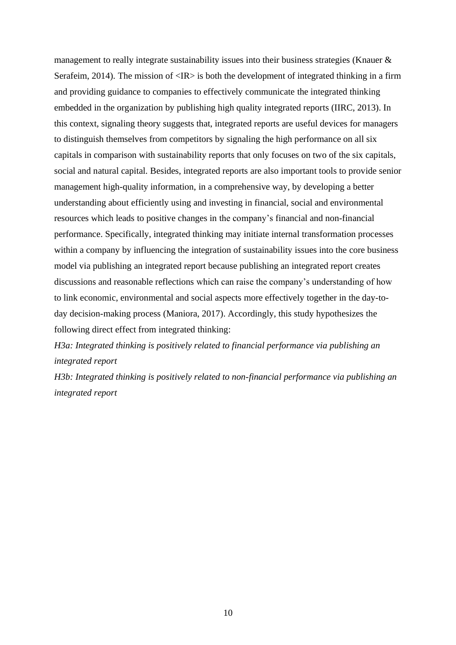management to really integrate sustainability issues into their business strategies (Knauer & Serafeim, 2014). The mission of  $\langle IR \rangle$  is both the development of integrated thinking in a firm and providing guidance to companies to effectively communicate the integrated thinking embedded in the organization by publishing high quality integrated reports (IIRC, 2013). In this context, signaling theory suggests that, integrated reports are useful devices for managers to distinguish themselves from competitors by signaling the high performance on all six capitals in comparison with sustainability reports that only focuses on two of the six capitals, social and natural capital. Besides, integrated reports are also important tools to provide senior management high-quality information, in a comprehensive way, by developing a better understanding about efficiently using and investing in financial, social and environmental resources which leads to positive changes in the company's financial and non-financial performance. Specifically, integrated thinking may initiate internal transformation processes within a company by influencing the integration of sustainability issues into the core business model via publishing an integrated report because publishing an integrated report creates discussions and reasonable reflections which can raise the company's understanding of how to link economic, environmental and social aspects more effectively together in the day-today decision-making process (Maniora, 2017). Accordingly, this study hypothesizes the following direct effect from integrated thinking:

*H3a: Integrated thinking is positively related to financial performance via publishing an integrated report* 

*H3b: Integrated thinking is positively related to non-financial performance via publishing an integrated report*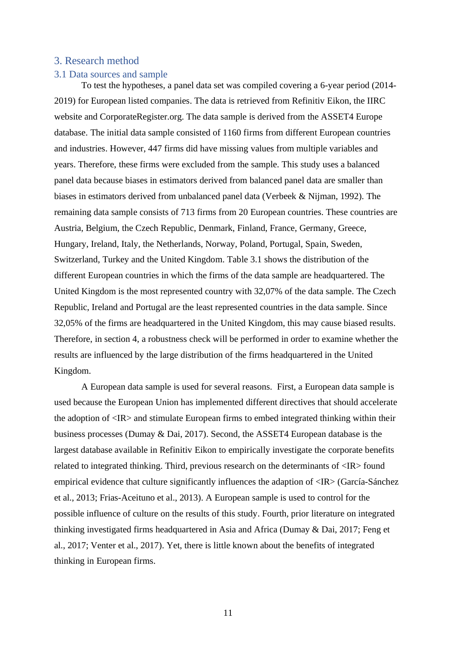#### <span id="page-11-0"></span>3. Research method

#### <span id="page-11-1"></span>3.1 Data sources and sample

To test the hypotheses, a panel data set was compiled covering a 6-year period (2014- 2019) for European listed companies. The data is retrieved from Refinitiv Eikon, the IIRC website and CorporateRegister.org. The data sample is derived from the ASSET4 Europe database. The initial data sample consisted of 1160 firms from different European countries and industries. However, 447 firms did have missing values from multiple variables and years. Therefore, these firms were excluded from the sample. This study uses a balanced panel data because biases in estimators derived from balanced panel data are smaller than biases in estimators derived from unbalanced panel data (Verbeek & Nijman, 1992). The remaining data sample consists of 713 firms from 20 European countries. These countries are Austria, Belgium, the Czech Republic, Denmark, Finland, France, Germany, Greece, Hungary, Ireland, Italy, the Netherlands, Norway, Poland, Portugal, Spain, Sweden, Switzerland, Turkey and the United Kingdom. Table 3.1 shows the distribution of the different European countries in which the firms of the data sample are headquartered. The United Kingdom is the most represented country with 32,07% of the data sample. The Czech Republic, Ireland and Portugal are the least represented countries in the data sample. Since 32,05% of the firms are headquartered in the United Kingdom, this may cause biased results. Therefore, in section 4, a robustness check will be performed in order to examine whether the results are influenced by the large distribution of the firms headquartered in the United Kingdom.

A European data sample is used for several reasons. First, a European data sample is used because the European Union has implemented different directives that should accelerate the adoption of <IR> and stimulate European firms to embed integrated thinking within their business processes (Dumay & Dai, 2017). Second, the ASSET4 European database is the largest database available in Refinitiv Eikon to empirically investigate the corporate benefits related to integrated thinking. Third, previous research on the determinants of <IR> found empirical evidence that culture significantly influences the adaption of  $\langle IR \rangle$  (García-Sánchez et al., 2013; Frias-Aceituno et al., 2013). A European sample is used to control for the possible influence of culture on the results of this study. Fourth, prior literature on integrated thinking investigated firms headquartered in Asia and Africa (Dumay & Dai, 2017; Feng et al., 2017; Venter et al., 2017). Yet, there is little known about the benefits of integrated thinking in European firms.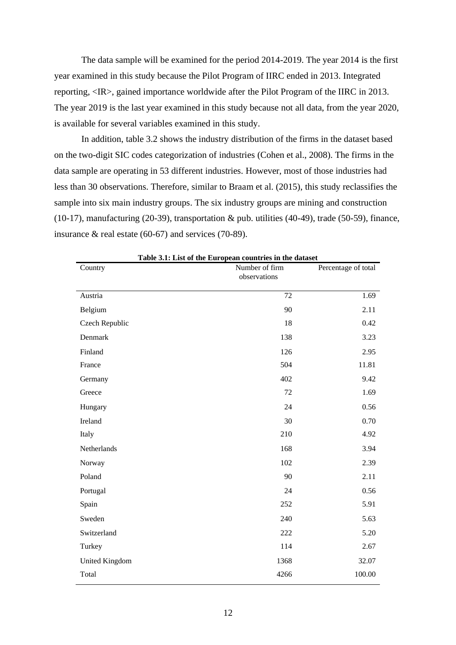The data sample will be examined for the period 2014-2019. The year 2014 is the first year examined in this study because the Pilot Program of IIRC ended in 2013. Integrated reporting, <IR>, gained importance worldwide after the Pilot Program of the IIRC in 2013. The year 2019 is the last year examined in this study because not all data, from the year 2020, is available for several variables examined in this study.

In addition, table 3.2 shows the industry distribution of the firms in the dataset based on the two-digit SIC codes categorization of industries (Cohen et al., 2008). The firms in the data sample are operating in 53 different industries. However, most of those industries had less than 30 observations. Therefore, similar to Braam et al. (2015), this study reclassifies the sample into six main industry groups. The six industry groups are mining and construction (10-17), manufacturing (20-39), transportation & pub. utilities (40-49), trade (50-59), finance, insurance & real estate (60-67) and services (70-89).

| Table 3.1: List of the European countries in the dataset<br>Country | Number of firm | Percentage of total |
|---------------------------------------------------------------------|----------------|---------------------|
|                                                                     | observations   |                     |
| Austria                                                             | 72             | 1.69                |
| Belgium                                                             | 90             | 2.11                |
| Czech Republic                                                      | 18             | 0.42                |
| Denmark                                                             | 138            | 3.23                |
| Finland                                                             | 126            | 2.95                |
| France                                                              | 504            | 11.81               |
| Germany                                                             | 402            | 9.42                |
| Greece                                                              | 72             | 1.69                |
| Hungary                                                             | 24             | 0.56                |
| Ireland                                                             | 30             | 0.70                |
| Italy                                                               | 210            | 4.92                |
| Netherlands                                                         | 168            | 3.94                |
| Norway                                                              | 102            | 2.39                |
| Poland                                                              | 90             | 2.11                |
| Portugal                                                            | 24             | 0.56                |
| Spain                                                               | 252            | 5.91                |
| Sweden                                                              | 240            | 5.63                |
| Switzerland                                                         | 222            | 5.20                |
| Turkey                                                              | 114            | 2.67                |
| <b>United Kingdom</b>                                               | 1368           | 32.07               |
| Total                                                               | 4266           | 100.00              |

**Table 3.1: List of the European countries in the dataset**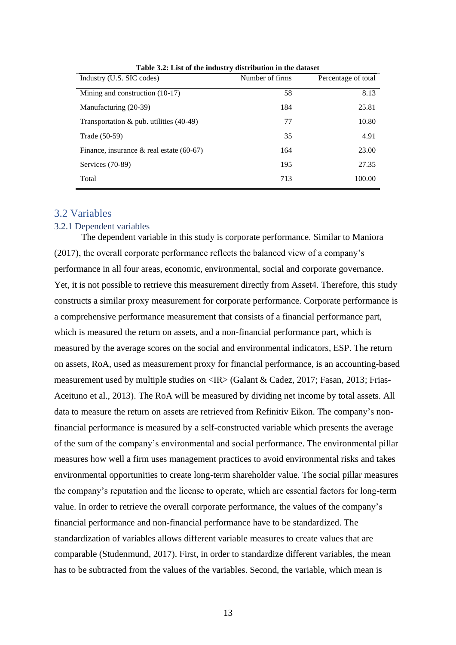| Industry (U.S. SIC codes)                   | Number of firms | Percentage of total |
|---------------------------------------------|-----------------|---------------------|
| Mining and construction $(10-17)$           | 58              | 8.13                |
| Manufacturing (20-39)                       | 184             | 25.81               |
| Transportation $\&$ pub. utilities (40-49)  | 77              | 10.80               |
| Trade (50-59)                               | 35              | 4.91                |
| Finance, insurance $\&$ real estate (60-67) | 164             | 23.00               |
| Services (70-89)                            | 195             | 27.35               |
| Total                                       | 713             | 100.00              |

**Table 3.2: List of the industry distribution in the dataset**

## <span id="page-13-0"></span>3.2 Variables

#### <span id="page-13-1"></span>3.2.1 Dependent variables

The dependent variable in this study is corporate performance. Similar to Maniora (2017), the overall corporate performance reflects the balanced view of a company's performance in all four areas, economic, environmental, social and corporate governance. Yet, it is not possible to retrieve this measurement directly from Asset4. Therefore, this study constructs a similar proxy measurement for corporate performance. Corporate performance is a comprehensive performance measurement that consists of a financial performance part, which is measured the return on assets, and a non-financial performance part, which is measured by the average scores on the social and environmental indicators, ESP. The return on assets, RoA, used as measurement proxy for financial performance, is an accounting-based measurement used by multiple studies on  $\langle IR \rangle$  (Galant & Cadez, 2017; Fassan, 2013; Frias-Aceituno et al., 2013). The RoA will be measured by dividing net income by total assets. All data to measure the return on assets are retrieved from Refinitiv Eikon. The company's nonfinancial performance is measured by a self-constructed variable which presents the average of the sum of the company's environmental and social performance. The environmental pillar measures how well a firm uses management practices to avoid environmental risks and takes environmental opportunities to create long-term shareholder value. The social pillar measures the company's reputation and the license to operate, which are essential factors for long-term value. In order to retrieve the overall corporate performance, the values of the company's financial performance and non-financial performance have to be standardized. The standardization of variables allows different variable measures to create values that are comparable (Studenmund, 2017). First, in order to standardize different variables, the mean has to be subtracted from the values of the variables. Second, the variable, which mean is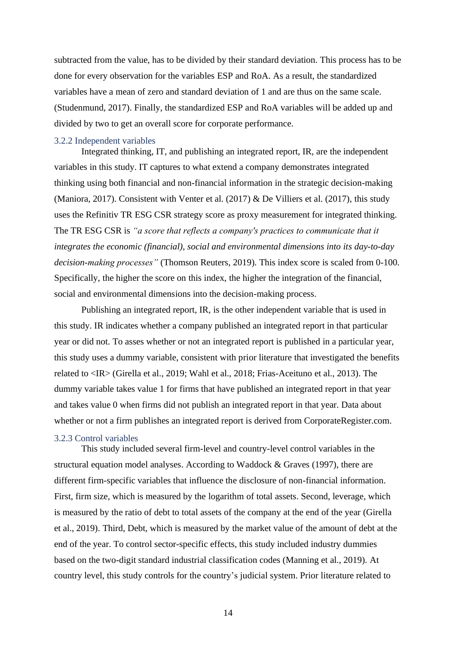subtracted from the value, has to be divided by their standard deviation. This process has to be done for every observation for the variables ESP and RoA. As a result, the standardized variables have a mean of zero and standard deviation of 1 and are thus on the same scale. (Studenmund, 2017). Finally, the standardized ESP and RoA variables will be added up and divided by two to get an overall score for corporate performance.

#### <span id="page-14-0"></span>3.2.2 Independent variables

Integrated thinking, IT, and publishing an integrated report, IR, are the independent variables in this study. IT captures to what extend a company demonstrates integrated thinking using both financial and non-financial information in the strategic decision-making (Maniora, 2017). Consistent with Venter et al.  $(2017)$  & De Villiers et al.  $(2017)$ , this study uses the Refinitiv TR ESG CSR strategy score as proxy measurement for integrated thinking. The TR ESG CSR is *"a score that reflects a company's practices to communicate that it integrates the economic (financial), social and environmental dimensions into its day-to-day decision-making processes"* (Thomson Reuters, 2019)*.* This index score is scaled from 0-100. Specifically, the higher the score on this index, the higher the integration of the financial, social and environmental dimensions into the decision-making process.

Publishing an integrated report, IR, is the other independent variable that is used in this study. IR indicates whether a company published an integrated report in that particular year or did not. To asses whether or not an integrated report is published in a particular year, this study uses a dummy variable, consistent with prior literature that investigated the benefits related to <IR> (Girella et al., 2019; Wahl et al., 2018; Frias-Aceituno et al., 2013). The dummy variable takes value 1 for firms that have published an integrated report in that year and takes value 0 when firms did not publish an integrated report in that year. Data about whether or not a firm publishes an integrated report is derived from CorporateRegister.com. 3.2.3 Control variables

<span id="page-14-1"></span>This study included several firm-level and country-level control variables in the structural equation model analyses. According to Waddock & Graves (1997), there are different firm-specific variables that influence the disclosure of non-financial information. First, firm size, which is measured by the logarithm of total assets. Second, leverage, which is measured by the ratio of debt to total assets of the company at the end of the year (Girella et al., 2019). Third, Debt, which is measured by the market value of the amount of debt at the end of the year. To control sector-specific effects, this study included industry dummies based on the two-digit standard industrial classification codes (Manning et al., 2019). At country level, this study controls for the country's judicial system. Prior literature related to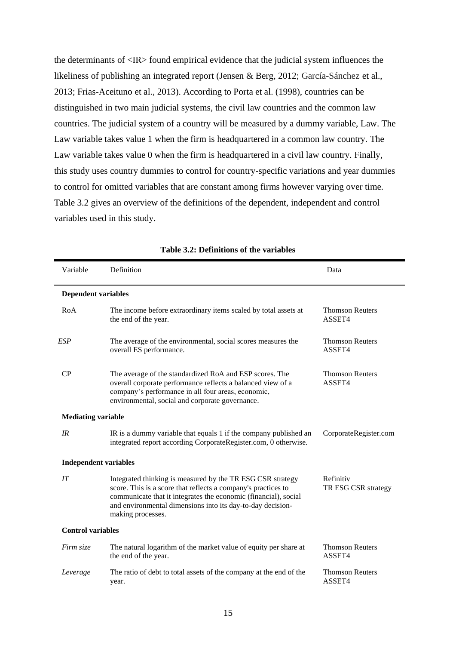the determinants of <IR> found empirical evidence that the judicial system influences the likeliness of publishing an integrated report (Jensen & Berg, 2012; García-Sánchez et al., 2013; Frias-Aceituno et al., 2013). According to Porta et al. (1998), countries can be distinguished in two main judicial systems, the civil law countries and the common law countries. The judicial system of a country will be measured by a dummy variable, Law. The Law variable takes value 1 when the firm is headquartered in a common law country. The Law variable takes value 0 when the firm is headquartered in a civil law country. Finally, this study uses country dummies to control for country-specific variations and year dummies to control for omitted variables that are constant among firms however varying over time. Table 3.2 gives an overview of the definitions of the dependent, independent and control variables used in this study.

| Variable                     | Definition                                                                                                                                                                                                                                                                        | Data                             |  |
|------------------------------|-----------------------------------------------------------------------------------------------------------------------------------------------------------------------------------------------------------------------------------------------------------------------------------|----------------------------------|--|
| <b>Dependent variables</b>   |                                                                                                                                                                                                                                                                                   |                                  |  |
| RoA                          | The income before extraordinary items scaled by total assets at<br>the end of the year.                                                                                                                                                                                           | <b>Thomson Reuters</b><br>ASSET4 |  |
| ESP                          | The average of the environmental, social scores measures the<br>overall ES performance.                                                                                                                                                                                           | <b>Thomson Reuters</b><br>ASSET4 |  |
| CP                           | The average of the standardized RoA and ESP scores. The<br>overall corporate performance reflects a balanced view of a<br>company's performance in all four areas, economic,<br>environmental, social and corporate governance.                                                   | <b>Thomson Reuters</b><br>ASSET4 |  |
| <b>Mediating variable</b>    |                                                                                                                                                                                                                                                                                   |                                  |  |
| IR                           | IR is a dummy variable that equals 1 if the company published an<br>integrated report according CorporateRegister.com, 0 otherwise.                                                                                                                                               | CorporateRegister.com            |  |
| <b>Independent variables</b> |                                                                                                                                                                                                                                                                                   |                                  |  |
| IT                           | Integrated thinking is measured by the TR ESG CSR strategy<br>score. This is a score that reflects a company's practices to<br>communicate that it integrates the economic (financial), social<br>and environmental dimensions into its day-to-day decision-<br>making processes. | Refinitiv<br>TR ESG CSR strategy |  |
| <b>Control variables</b>     |                                                                                                                                                                                                                                                                                   |                                  |  |
| Firm size                    | The natural logarithm of the market value of equity per share at<br>the end of the year.                                                                                                                                                                                          | <b>Thomson Reuters</b><br>ASSET4 |  |
| Leverage                     | The ratio of debt to total assets of the company at the end of the<br>year.                                                                                                                                                                                                       | <b>Thomson Reuters</b><br>ASSET4 |  |

| Table 3.2: Definitions of the variables |  |  |
|-----------------------------------------|--|--|
|-----------------------------------------|--|--|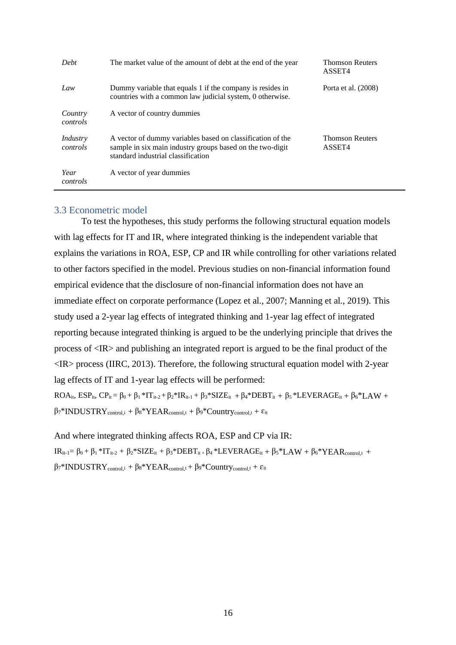| Debt                 | The market value of the amount of debt at the end of the year                                                                                                 | <b>Thomson Reuters</b><br>ASSET4 |
|----------------------|---------------------------------------------------------------------------------------------------------------------------------------------------------------|----------------------------------|
| Law                  | Dummy variable that equals 1 if the company is resides in<br>countries with a common law judicial system, 0 otherwise.                                        | Porta et al. (2008)              |
| Country<br>controls  | A vector of country dummies                                                                                                                                   |                                  |
| Industry<br>controls | A vector of dummy variables based on classification of the<br>sample in six main industry groups based on the two-digit<br>standard industrial classification | <b>Thomson Reuters</b><br>ASSET4 |
| Year<br>controls     | A vector of year dummies                                                                                                                                      |                                  |

#### <span id="page-16-0"></span>3.3 Econometric model

To test the hypotheses, this study performs the following structural equation models with lag effects for IT and IR, where integrated thinking is the independent variable that explains the variations in ROA, ESP, CP and IR while controlling for other variations related to other factors specified in the model. Previous studies on non-financial information found empirical evidence that the disclosure of non-financial information does not have an immediate effect on corporate performance (Lopez et al., 2007; Manning et al., 2019). This study used a 2-year lag effects of integrated thinking and 1-year lag effect of integrated reporting because integrated thinking is argued to be the underlying principle that drives the process of <IR> and publishing an integrated report is argued to be the final product of the  $\langle$ IR $>$  process (IIRC, 2013). Therefore, the following structural equation model with 2-year lag effects of IT and 1-year lag effects will be performed:

 $ROA_{it}$ ,  $ESP_{it}$ ,  $CP_{it} = \beta_0 + \beta_1 * IT_{it-2} + \beta_2 * IR_{it-1} + \beta_3 * SIZE_{it} + \beta_4 * DEBT_{it} + \beta_5 * LEVERAGE_{it} + \beta_6 * LAN +$  $\beta_7^*INDUSTRY_{control,i} + \beta_8^*YEAR_{control,t} + \beta_9^*Country_{control,t} + \epsilon_{it}$ 

And where integrated thinking affects ROA, ESP and CP via IR:  $IR_{it-1} = \beta_0 + \beta_1 * IT_{it-2} + \beta_2 * SIZE_{it} + \beta_3 * DEBT_{it} + \beta_4 * LEVERAGE_{it} + \beta_5 * LAN + \beta_6 * YEAR_{control} + +$  $β_7*INDUSTRY<sub>control</sub> + β_8*YEAR<sub>control</sub>t + β_9*Country<sub>control</sub>t + ε<sub>it</sub>$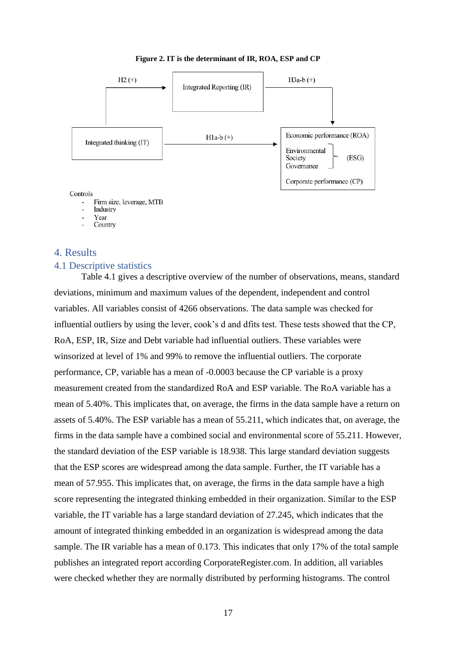

#### **Figure 2. IT is the determinant of IR, ROA, ESP and CP**

#### Controls

- Firm size, leverage, MTB
- Industry
- Year
- Country

## <span id="page-17-0"></span>4. Results

#### <span id="page-17-1"></span>4.1 Descriptive statistics

Table 4.1 gives a descriptive overview of the number of observations, means, standard deviations, minimum and maximum values of the dependent, independent and control variables. All variables consist of 4266 observations. The data sample was checked for influential outliers by using the lever, cook's d and dfits test. These tests showed that the CP, RoA, ESP, IR, Size and Debt variable had influential outliers. These variables were winsorized at level of 1% and 99% to remove the influential outliers. The corporate performance, CP, variable has a mean of -0.0003 because the CP variable is a proxy measurement created from the standardized RoA and ESP variable. The RoA variable has a mean of 5.40%. This implicates that, on average, the firms in the data sample have a return on assets of 5.40%. The ESP variable has a mean of 55.211, which indicates that, on average, the firms in the data sample have a combined social and environmental score of 55.211. However, the standard deviation of the ESP variable is 18.938. This large standard deviation suggests that the ESP scores are widespread among the data sample. Further, the IT variable has a mean of 57.955. This implicates that, on average, the firms in the data sample have a high score representing the integrated thinking embedded in their organization. Similar to the ESP variable, the IT variable has a large standard deviation of 27.245, which indicates that the amount of integrated thinking embedded in an organization is widespread among the data sample. The IR variable has a mean of 0.173. This indicates that only 17% of the total sample publishes an integrated report according CorporateRegister.com. In addition, all variables were checked whether they are normally distributed by performing histograms. The control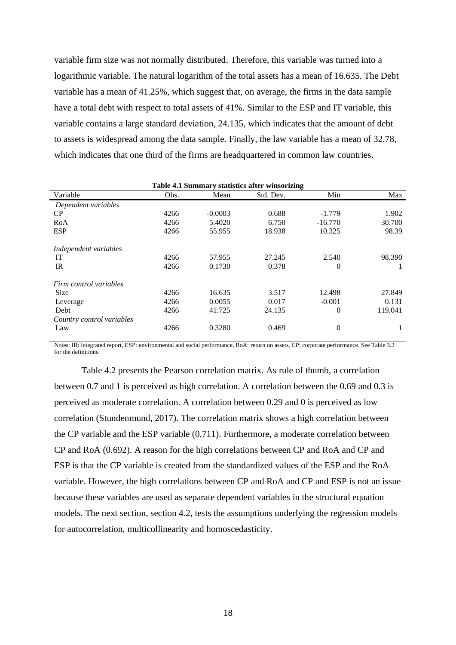variable firm size was not normally distributed. Therefore, this variable was turned into a logarithmic variable. The natural logarithm of the total assets has a mean of 16.635. The Debt variable has a mean of 41.25%, which suggest that, on average, the firms in the data sample have a total debt with respect to total assets of 41%. Similar to the ESP and IT variable, this variable contains a large standard deviation, 24.135, which indicates that the amount of debt to assets is widespread among the data sample. Finally, the law variable has a mean of 32.78, which indicates that one third of the firms are headquartered in common law countries.

| Table 4.1 Summary statistics after winsorizing |      |           |           |                |         |  |  |  |
|------------------------------------------------|------|-----------|-----------|----------------|---------|--|--|--|
| Variable                                       | Obs. | Mean      | Std. Dev. | Min            | Max     |  |  |  |
| Dependent variables                            |      |           |           |                |         |  |  |  |
| CP                                             | 4266 | $-0.0003$ | 0.688     | $-1.779$       | 1.902   |  |  |  |
| RoA                                            | 4266 | 5.4020    | 6.750     | $-16.770$      | 30.700  |  |  |  |
| <b>ESP</b>                                     | 4266 | 55.955    | 18.938    | 10.325         | 98.39   |  |  |  |
| Independent variables                          |      |           |           |                |         |  |  |  |
| IT                                             | 4266 | 57.955    | 27.245    | 2.540          | 98.390  |  |  |  |
| IR                                             | 4266 | 0.1730    | 0.378     | $\theta$       |         |  |  |  |
| Firm control variables                         |      |           |           |                |         |  |  |  |
| <b>Size</b>                                    | 4266 | 16.635    | 3.517     | 12.498         | 27.849  |  |  |  |
| Leverage                                       | 4266 | 0.0055    | 0.017     | $-0.001$       | 0.131   |  |  |  |
| Debt                                           | 4266 | 41.725    | 24.135    | $\theta$       | 119.041 |  |  |  |
| Country control variables                      |      |           |           |                |         |  |  |  |
| Law                                            | 4266 | 0.3280    | 0.469     | $\overline{0}$ | 1       |  |  |  |

Notes: IR: integrated report, ESP: environmental and social performance, RoA: return on assets, CP: corporate performance. See Table 3.2 for the definitions.

Table 4.2 presents the Pearson correlation matrix. As rule of thumb, a correlation between 0.7 and 1 is perceived as high correlation. A correlation between the 0.69 and 0.3 is perceived as moderate correlation. A correlation between 0.29 and 0 is perceived as low correlation (Stundenmund, 2017). The correlation matrix shows a high correlation between the CP variable and the ESP variable (0.711). Furthermore, a moderate correlation between CP and RoA (0.692). A reason for the high correlations between CP and RoA and CP and ESP is that the CP variable is created from the standardized values of the ESP and the RoA variable. However, the high correlations between CP and RoA and CP and ESP is not an issue because these variables are used as separate dependent variables in the structural equation models. The next section, section 4.2, tests the assumptions underlying the regression models for autocorrelation, multicollinearity and homoscedasticity.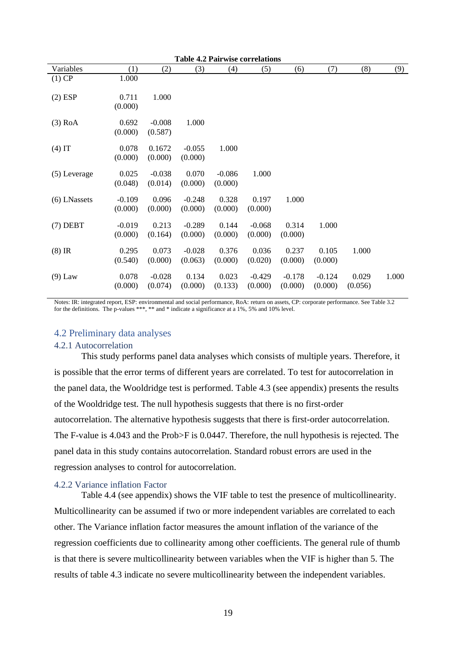| <b>Table 4.2 Pairwise correlations</b> |                     |                     |                     |                     |                     |                     |                     |                  |       |
|----------------------------------------|---------------------|---------------------|---------------------|---------------------|---------------------|---------------------|---------------------|------------------|-------|
| Variables                              | (1)                 | (2)                 | (3)                 | (4)                 | (5)                 | (6)                 | (7)                 | (8)              | (9)   |
| $(1)$ CP                               | 1.000               |                     |                     |                     |                     |                     |                     |                  |       |
| $(2)$ ESP                              | 0.711<br>(0.000)    | 1.000               |                     |                     |                     |                     |                     |                  |       |
| $(3)$ RoA                              | 0.692<br>(0.000)    | $-0.008$<br>(0.587) | 1.000               |                     |                     |                     |                     |                  |       |
| $(4)$ IT                               | 0.078<br>(0.000)    | 0.1672<br>(0.000)   | $-0.055$<br>(0.000) | 1.000               |                     |                     |                     |                  |       |
| $(5)$ Leverage                         | 0.025<br>(0.048)    | $-0.038$<br>(0.014) | 0.070<br>(0.000)    | $-0.086$<br>(0.000) | 1.000               |                     |                     |                  |       |
| (6) LNassets                           | $-0.109$<br>(0.000) | 0.096<br>(0.000)    | $-0.248$<br>(0.000) | 0.328<br>(0.000)    | 0.197<br>(0.000)    | 1.000               |                     |                  |       |
| $(7)$ DEBT                             | $-0.019$<br>(0.000) | 0.213<br>(0.164)    | $-0.289$<br>(0.000) | 0.144<br>(0.000)    | $-0.068$<br>(0.000) | 0.314<br>(0.000)    | 1.000               |                  |       |
| $(8)$ IR                               | 0.295<br>(0.540)    | 0.073<br>(0.000)    | $-0.028$<br>(0.063) | 0.376<br>(0.000)    | 0.036<br>(0.020)    | 0.237<br>(0.000)    | 0.105<br>(0.000)    | 1.000            |       |
| $(9)$ Law                              | 0.078<br>(0.000)    | $-0.028$<br>(0.074) | 0.134<br>(0.000)    | 0.023<br>(0.133)    | $-0.429$<br>(0.000) | $-0.178$<br>(0.000) | $-0.124$<br>(0.000) | 0.029<br>(0.056) | 1.000 |

Notes: IR: integrated report, ESP: environmental and social performance, RoA: return on assets, CP: corporate performance. See Table 3.2 for the definitions. The p-values \*\*\*, \*\* and \* indicate a significance at a 1%, 5% and 10% level.

### <span id="page-19-0"></span>4.2 Preliminary data analyses

#### <span id="page-19-1"></span>4.2.1 Autocorrelation

This study performs panel data analyses which consists of multiple years. Therefore, it is possible that the error terms of different years are correlated. To test for autocorrelation in the panel data, the Wooldridge test is performed. Table 4.3 (see appendix) presents the results of the Wooldridge test. The null hypothesis suggests that there is no first-order autocorrelation. The alternative hypothesis suggests that there is first-order autocorrelation. The F-value is 4.043 and the Prob>F is 0.0447. Therefore, the null hypothesis is rejected. The panel data in this study contains autocorrelation. Standard robust errors are used in the regression analyses to control for autocorrelation.

#### <span id="page-19-2"></span>4.2.2 Variance inflation Factor

Table 4.4 (see appendix) shows the VIF table to test the presence of multicollinearity. Multicollinearity can be assumed if two or more independent variables are correlated to each other. The Variance inflation factor measures the amount inflation of the variance of the regression coefficients due to collinearity among other coefficients. The general rule of thumb is that there is severe multicollinearity between variables when the VIF is higher than 5. The results of table 4.3 indicate no severe multicollinearity between the independent variables.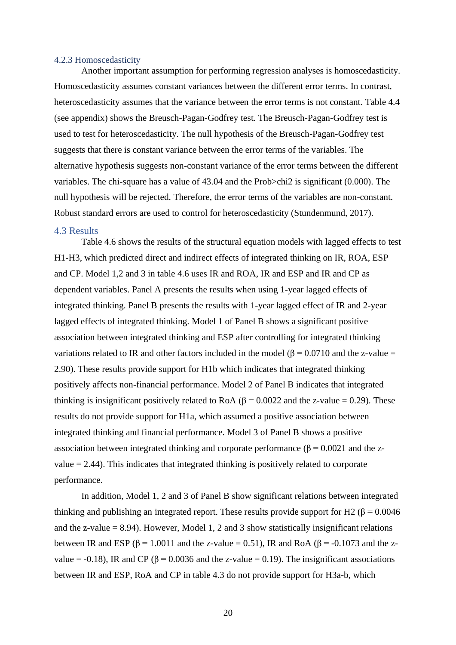#### <span id="page-20-0"></span>4.2.3 Homoscedasticity

Another important assumption for performing regression analyses is homoscedasticity. Homoscedasticity assumes constant variances between the different error terms. In contrast, heteroscedasticity assumes that the variance between the error terms is not constant. Table 4.4 (see appendix) shows the Breusch-Pagan-Godfrey test. The Breusch-Pagan-Godfrey test is used to test for heteroscedasticity. The null hypothesis of the Breusch-Pagan-Godfrey test suggests that there is constant variance between the error terms of the variables. The alternative hypothesis suggests non-constant variance of the error terms between the different variables. The chi-square has a value of 43.04 and the Prob>chi2 is significant (0.000). The null hypothesis will be rejected. Therefore, the error terms of the variables are non-constant. Robust standard errors are used to control for heteroscedasticity (Stundenmund, 2017).

#### <span id="page-20-1"></span>4.3 Results

Table 4.6 shows the results of the structural equation models with lagged effects to test H1-H3, which predicted direct and indirect effects of integrated thinking on IR, ROA, ESP and CP. Model 1,2 and 3 in table 4.6 uses IR and ROA, IR and ESP and IR and CP as dependent variables. Panel A presents the results when using 1-year lagged effects of integrated thinking. Panel B presents the results with 1-year lagged effect of IR and 2-year lagged effects of integrated thinking. Model 1 of Panel B shows a significant positive association between integrated thinking and ESP after controlling for integrated thinking variations related to IR and other factors included in the model ( $\beta$  = 0.0710 and the z-value = 2.90). These results provide support for H1b which indicates that integrated thinking positively affects non-financial performance. Model 2 of Panel B indicates that integrated thinking is insignificant positively related to RoA ( $\beta$  = 0.0022 and the z-value = 0.29). These results do not provide support for H1a, which assumed a positive association between integrated thinking and financial performance. Model 3 of Panel B shows a positive association between integrated thinking and corporate performance ( $\beta = 0.0021$  and the zvalue  $= 2.44$ ). This indicates that integrated thinking is positively related to corporate performance.

In addition, Model 1, 2 and 3 of Panel B show significant relations between integrated thinking and publishing an integrated report. These results provide support for H2 ( $\beta$  = 0.0046 and the z-value  $= 8.94$ ). However, Model 1, 2 and 3 show statistically insignificant relations between IR and ESP ( $\beta$  = 1.0011 and the z-value = 0.51), IR and RoA ( $\beta$  = -0.1073 and the zvalue = -0.18), IR and CP ( $\beta$  = 0.0036 and the z-value = 0.19). The insignificant associations between IR and ESP, RoA and CP in table 4.3 do not provide support for H3a-b, which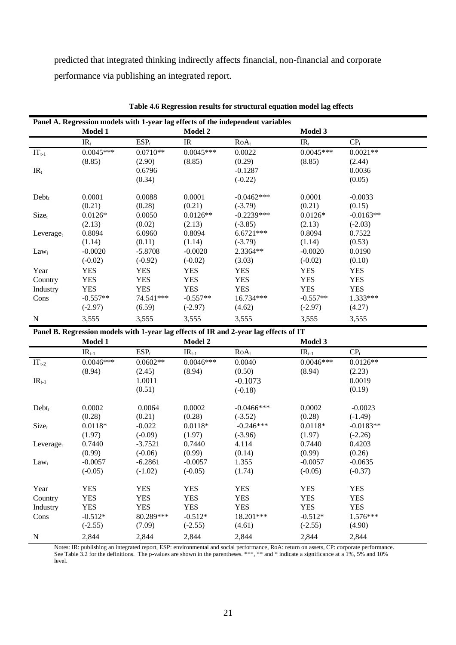predicted that integrated thinking indirectly affects financial, non-financial and corporate performance via publishing an integrated report.

| Panel A. Regression models with 1-year lag effects of the independent variables |             |            |             |                                                                                       |             |                 |  |  |
|---------------------------------------------------------------------------------|-------------|------------|-------------|---------------------------------------------------------------------------------------|-------------|-----------------|--|--|
|                                                                                 | Model 1     |            | Model 2     |                                                                                       | Model 3     |                 |  |  |
|                                                                                 | $IR_t$      | $ESP_t$    | IR          | $RoA_t$                                                                               | $IR_t$      | CP <sub>t</sub> |  |  |
| $IT_{t-1}$                                                                      | $0.0045***$ | $0.0710**$ | $0.0045***$ | 0.0022                                                                                | $0.0045***$ | $0.0021**$      |  |  |
|                                                                                 | (8.85)      | (2.90)     | (8.85)      | (0.29)                                                                                | (8.85)      | (2.44)          |  |  |
| $IR_t$                                                                          |             | 0.6796     |             | $-0.1287$                                                                             |             | 0.0036          |  |  |
|                                                                                 |             | (0.34)     |             | $(-0.22)$                                                                             |             | (0.05)          |  |  |
| $Debt_t$                                                                        | 0.0001      | 0.0088     | 0.0001      | $-0.0462***$                                                                          | 0.0001      | $-0.0033$       |  |  |
|                                                                                 | (0.21)      | (0.28)     | (0.21)      | $(-3.79)$                                                                             | (0.21)      | (0.15)          |  |  |
| Size <sub>t</sub>                                                               | $0.0126*$   | 0.0050     | $0.0126**$  | $-0.2239***$                                                                          | $0.0126*$   | $-0.0163**$     |  |  |
|                                                                                 | (2.13)      | (0.02)     | (2.13)      | $(-3.85)$                                                                             | (2.13)      | $(-2.03)$       |  |  |
| Leverage $t$                                                                    | 0.8094      | 6.0960     | 0.8094      | $6.6721***$                                                                           | 0.8094      | 0.7522          |  |  |
|                                                                                 | (1.14)      | (0.11)     | (1.14)      | $(-3.79)$                                                                             | (1.14)      | (0.53)          |  |  |
| Lawi                                                                            | $-0.0020$   | $-5.8708$  | $-0.0020$   | 2.3364**                                                                              | $-0.0020$   | 0.0190          |  |  |
|                                                                                 | $(-0.02)$   | $(-0.92)$  | $(-0.02)$   | (3.03)                                                                                | $(-0.02)$   | (0.10)          |  |  |
| Year                                                                            | <b>YES</b>  | <b>YES</b> | <b>YES</b>  | <b>YES</b>                                                                            | <b>YES</b>  | <b>YES</b>      |  |  |
| Country                                                                         | <b>YES</b>  | <b>YES</b> | <b>YES</b>  | <b>YES</b>                                                                            | <b>YES</b>  | <b>YES</b>      |  |  |
| Industry                                                                        | <b>YES</b>  | <b>YES</b> | <b>YES</b>  | <b>YES</b>                                                                            | <b>YES</b>  | <b>YES</b>      |  |  |
| Cons                                                                            | $-0.557**$  | 74.541 *** | $-0.557**$  | 16.734***                                                                             | $-0.557**$  | 1.333***        |  |  |
|                                                                                 | $(-2.97)$   | (6.59)     | $(-2.97)$   | (4.62)                                                                                | $(-2.97)$   | (4.27)          |  |  |
| $\mathbf N$                                                                     | 3,555       | 3,555      | 3,555       | 3,555                                                                                 | 3,555       | 3,555           |  |  |
|                                                                                 |             |            |             | Panel B. Regression models with 1-year lag effects of IR and 2-year lag effects of IT |             |                 |  |  |
|                                                                                 | Model 1     |            | Model 2     |                                                                                       | Model 3     |                 |  |  |
|                                                                                 | $IR_{t-1}$  | $ESP_t$    | $IR_{t-1}$  | $RoA_t$                                                                               | $IR_{t-1}$  | CP <sub>t</sub> |  |  |
| $IT_{t-2}$                                                                      | $0.0046***$ | $0.0602**$ | $0.0046***$ | 0.0040                                                                                | $0.0046***$ | $0.0126**$      |  |  |
|                                                                                 | (8.94)      | (2.45)     | (8.94)      | (0.50)                                                                                | (8.94)      | (2.23)          |  |  |
| $IR_{t-1}$                                                                      |             | 1.0011     |             | $-0.1073$                                                                             |             | 0.0019          |  |  |
|                                                                                 |             | (0.51)     |             | $(-0.18)$                                                                             |             | (0.19)          |  |  |
| $Debt_t$                                                                        | 0.0002      | 0.0064     | 0.0002      | $-0.0466$ ***                                                                         | 0.0002      | $-0.0023$       |  |  |
|                                                                                 | (0.28)      | (0.21)     | (0.28)      | $(-3.52)$                                                                             | (0.28)      | $(-1.49)$       |  |  |
| $Size_t$                                                                        | $0.0118*$   | $-0.022$   | $0.0118*$   | $-0.246***$                                                                           | $0.0118*$   | $-0.0183**$     |  |  |
|                                                                                 | (1.97)      | $(-0.09)$  | (1.97)      | $(-3.96)$                                                                             | (1.97)      | $(-2.26)$       |  |  |
| Leverage $t$                                                                    | 0.7440      | $-3.7521$  | 0.7440      | 4.114                                                                                 | 0.7440      | 0.4203          |  |  |
|                                                                                 | (0.99)      | $(-0.06)$  | (0.99)      | (0.14)                                                                                | (0.99)      | (0.26)          |  |  |
| $Law_i$                                                                         | $-0.0057$   | $-6.2861$  | $-0.0057$   | 1.355                                                                                 | $-0.0057$   | $-0.0635$       |  |  |
|                                                                                 | $(-0.05)$   | $(-1.02)$  | $(-0.05)$   | (1.74)                                                                                | $(-0.05)$   | $(-0.37)$       |  |  |
| Year                                                                            | <b>YES</b>  | <b>YES</b> | <b>YES</b>  | <b>YES</b>                                                                            | <b>YES</b>  | <b>YES</b>      |  |  |
| Country                                                                         | <b>YES</b>  | <b>YES</b> | <b>YES</b>  | <b>YES</b>                                                                            | <b>YES</b>  | <b>YES</b>      |  |  |
| Industry                                                                        | <b>YES</b>  | <b>YES</b> | <b>YES</b>  | <b>YES</b>                                                                            | <b>YES</b>  | <b>YES</b>      |  |  |
| Cons                                                                            | $-0.512*$   | 80.289***  | $-0.512*$   | 18.201***                                                                             | $-0.512*$   | $1.576***$      |  |  |

**Table 4.6 Regression results for structural equation model lag effects**

Notes: IR: publishing an integrated report, ESP: environmental and social performance, RoA: return on assets, CP: corporate performance. See Table 3.2 for the definitions. The p-values are shown in the parentheses. \*\*\*, \*\* and \* indicate a significance at a 1%, 5% and 10% level.

 $(2.55)$   $(7.09)$   $(-2.55)$   $(4.61)$   $(-2.55)$   $(4.90)$ 

N 2,844 2,844 2,844 2,844 2,844 2,844 2,844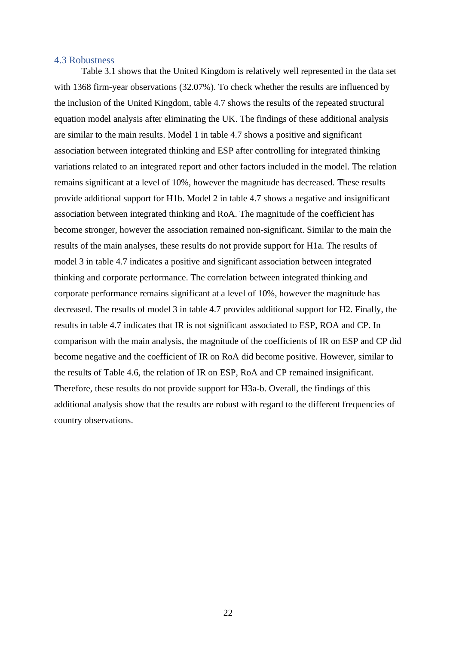#### <span id="page-22-0"></span>4.3 Robustness

Table 3.1 shows that the United Kingdom is relatively well represented in the data set with 1368 firm-year observations (32.07%). To check whether the results are influenced by the inclusion of the United Kingdom, table 4.7 shows the results of the repeated structural equation model analysis after eliminating the UK. The findings of these additional analysis are similar to the main results. Model 1 in table 4.7 shows a positive and significant association between integrated thinking and ESP after controlling for integrated thinking variations related to an integrated report and other factors included in the model. The relation remains significant at a level of 10%, however the magnitude has decreased. These results provide additional support for H1b. Model 2 in table 4.7 shows a negative and insignificant association between integrated thinking and RoA. The magnitude of the coefficient has become stronger, however the association remained non-significant. Similar to the main the results of the main analyses, these results do not provide support for H1a. The results of model 3 in table 4.7 indicates a positive and significant association between integrated thinking and corporate performance. The correlation between integrated thinking and corporate performance remains significant at a level of 10%, however the magnitude has decreased. The results of model 3 in table 4.7 provides additional support for H2. Finally, the results in table 4.7 indicates that IR is not significant associated to ESP, ROA and CP. In comparison with the main analysis, the magnitude of the coefficients of IR on ESP and CP did become negative and the coefficient of IR on RoA did become positive. However, similar to the results of Table 4.6, the relation of IR on ESP, RoA and CP remained insignificant. Therefore, these results do not provide support for H3a-b. Overall, the findings of this additional analysis show that the results are robust with regard to the different frequencies of country observations.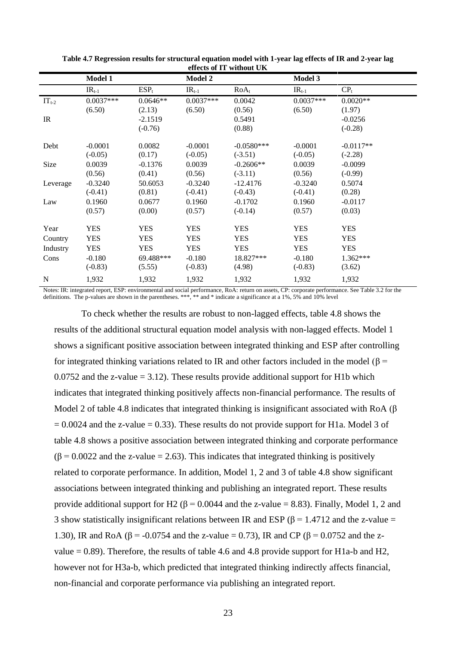| Model 1     |            | <b>Model 2</b> |              | Model 3                  |                 |
|-------------|------------|----------------|--------------|--------------------------|-----------------|
| $IR_{t-1}$  | $ESP_t$    | $IR_{t-1}$     | $RoA_t$      | $IR_{t-1}$               | CP <sub>t</sub> |
| $0.0037***$ | $0.0646**$ | $0.0037***$    | 0.0042       | $0.0037***$              | $0.0020**$      |
| (6.50)      | (2.13)     | (6.50)         | (0.56)       | (6.50)                   | (1.97)          |
|             | $-2.1519$  |                | 0.5491       |                          | $-0.0256$       |
|             | $(-0.76)$  |                | (0.88)       |                          | $(-0.28)$       |
| $-0.0001$   | 0.0082     | $-0.0001$      | $-0.0580***$ | $-0.0001$                | $-0.0117**$     |
| $(-0.05)$   | (0.17)     | $(-0.05)$      | $(-3.51)$    | $(-0.05)$                | $(-2.28)$       |
| 0.0039      | $-0.1376$  | 0.0039         | $-0.2606**$  | 0.0039                   | $-0.0099$       |
| (0.56)      | (0.41)     | (0.56)         | $(-3.11)$    | (0.56)                   | $(-0.99)$       |
| $-0.3240$   | 50.6053    | $-0.3240$      | $-12.4176$   | $-0.3240$                | 0.5074          |
| $(-0.41)$   | (0.81)     | $(-0.41)$      | $(-0.43)$    | $(-0.41)$                | (0.28)          |
| 0.1960      | 0.0677     | 0.1960         | $-0.1702$    | 0.1960                   | $-0.0117$       |
| (0.57)      | (0.00)     | (0.57)         | $(-0.14)$    | (0.57)                   | (0.03)          |
| <b>YES</b>  | <b>YES</b> | <b>YES</b>     | YES          | <b>YES</b>               | <b>YES</b>      |
| <b>YES</b>  | <b>YES</b> | <b>YES</b>     | <b>YES</b>   | <b>YES</b>               | <b>YES</b>      |
| <b>YES</b>  | <b>YES</b> | <b>YES</b>     | <b>YES</b>   | <b>YES</b>               | <b>YES</b>      |
| $-0.180$    | 69.488***  | $-0.180$       | 18.827***    | $-0.180$                 | 1.362***        |
| $(-0.83)$   | (5.55)     | $(-0.83)$      | (4.98)       | $(-0.83)$                | (3.62)          |
| 1,932       | 1,932      | 1,932          | 1,932        | 1,932                    | 1,932           |
|             |            |                |              | CHECLO OI 11 WHINDHE UIX |                 |

| Table 4.7 Regression results for structural equation model with 1-year lag effects of IR and 2-year lag |
|---------------------------------------------------------------------------------------------------------|
| effects of IT without UK                                                                                |

Notes: IR: integrated report, ESP: environmental and social performance, RoA: return on assets, CP: corporate performance. See Table 3.2 for the definitions. The p-values are shown in the parentheses. \*\*\*, \*\* and \* indicate a significance at a 1%, 5% and 10% level

To check whether the results are robust to non-lagged effects, table 4.8 shows the results of the additional structural equation model analysis with non-lagged effects. Model 1 shows a significant positive association between integrated thinking and ESP after controlling for integrated thinking variations related to IR and other factors included in the model ( $\beta$  = 0.0752 and the z-value  $= 3.12$ ). These results provide additional support for H1b which indicates that integrated thinking positively affects non-financial performance. The results of Model 2 of table 4.8 indicates that integrated thinking is insignificant associated with RoA ( $\beta$ )  $= 0.0024$  and the z-value  $= 0.33$ . These results do not provide support for H1a. Model 3 of table 4.8 shows a positive association between integrated thinking and corporate performance  $(\beta = 0.0022$  and the z-value = 2.63). This indicates that integrated thinking is positively related to corporate performance. In addition, Model 1, 2 and 3 of table 4.8 show significant associations between integrated thinking and publishing an integrated report. These results provide additional support for H2 ( $\beta$  = 0.0044 and the z-value = 8.83). Finally, Model 1, 2 and 3 show statistically insignificant relations between IR and ESP ( $\beta$  = 1.4712 and the z-value = 1.30), IR and RoA (β = -0.0754 and the z-value = 0.73), IR and CP (β = 0.0752 and the zvalue  $= 0.89$ ). Therefore, the results of table 4.6 and 4.8 provide support for H1a-b and H2, however not for H3a-b, which predicted that integrated thinking indirectly affects financial, non-financial and corporate performance via publishing an integrated report.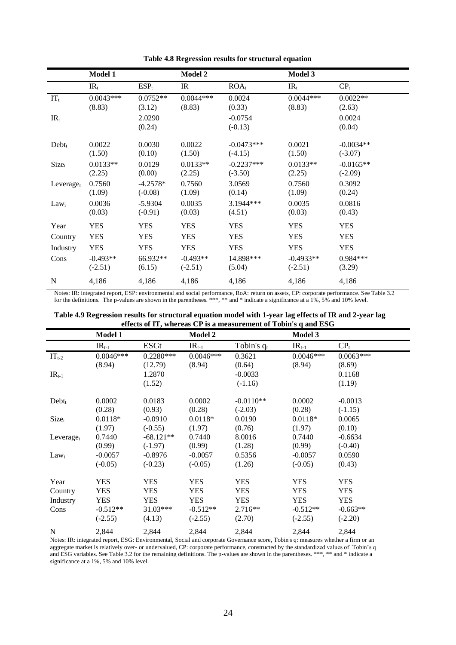|                       | <b>Model 1</b>                        |                                  | <b>Model 2</b>                        |                                   | Model 3                                |                                    |
|-----------------------|---------------------------------------|----------------------------------|---------------------------------------|-----------------------------------|----------------------------------------|------------------------------------|
|                       | $IR_t$                                | $ESP_t$                          | IR                                    | $ROA_t$                           | $IR_t$                                 | CP <sub>t</sub>                    |
| $IT_t$                | $0.0043***$<br>(8.83)                 | $0.0752**$<br>(3.12)             | $0.0044***$<br>(8.83)                 | 0.0024<br>(0.33)                  | $0.0044***$<br>(8.83)                  | $0.0022**$<br>(2.63)               |
| $IR_t$                |                                       | 2.0290<br>(0.24)                 |                                       | $-0.0754$<br>$(-0.13)$            |                                        | 0.0024<br>(0.04)                   |
| $Debt_t$              | 0.0022<br>(1.50)                      | 0.0030<br>(0.10)                 | 0.0022<br>(1.50)                      | $-0.0473***$<br>$(-4.15)$         | 0.0021<br>(1.50)                       | $-0.0034**$<br>$(-3.07)$           |
| Size <sub>t</sub>     | $0.0133**$<br>(2.25)                  | 0.0129<br>(0.00)                 | $0.0133**$<br>(2.25)                  | $-0.2237***$<br>$(-3.50)$         | $0.0133**$<br>(2.25)                   | $-0.0165**$<br>$(-2.09)$           |
| Leverage <sub>t</sub> | 0.7560<br>(1.09)                      | $-4.2578*$<br>$(-0.08)$          | 0.7560<br>(1.09)                      | 3.0569<br>(0.14)                  | 0.7560<br>(1.09)                       | 0.3092<br>(0.24)                   |
| Law <sub>i</sub>      | 0.0036<br>(0.03)                      | $-5.9304$<br>$(-0.91)$           | 0.0035<br>(0.03)                      | 3.1944***<br>(4.51)               | 0.0035<br>(0.03)                       | 0.0816<br>(0.43)                   |
| Year                  | <b>YES</b>                            | <b>YES</b>                       | <b>YES</b>                            | <b>YES</b>                        | <b>YES</b>                             | <b>YES</b>                         |
| Country               | <b>YES</b>                            | <b>YES</b>                       | <b>YES</b>                            | <b>YES</b>                        | <b>YES</b>                             | <b>YES</b>                         |
| Industry<br>Cons      | <b>YES</b><br>$-0.493**$<br>$(-2.51)$ | <b>YES</b><br>66.932**<br>(6.15) | <b>YES</b><br>$-0.493**$<br>$(-2.51)$ | <b>YES</b><br>14.898***<br>(5.04) | <b>YES</b><br>$-0.4933**$<br>$(-2.51)$ | <b>YES</b><br>$0.984***$<br>(3.29) |
| N                     | 4,186                                 | 4,186                            | 4,186                                 | 4,186                             | 4,186                                  | 4,186                              |

**Table 4.8 Regression results for structural equation**

Notes: IR: integrated report, ESP: environmental and social performance, RoA: return on assets, CP: corporate performance. See Table 3.2 for the definitions. The p-values are shown in the parentheses. \*\*\*, \*\* and \* indicate a significance at a 1%, 5% and 10% level.

| effects of 11, whereas CP is a measurement of 100in s q and ESG |                |             |                |               |             |             |
|-----------------------------------------------------------------|----------------|-------------|----------------|---------------|-------------|-------------|
|                                                                 | <b>Model 1</b> |             | <b>Model 2</b> |               | Model 3     |             |
|                                                                 | $IR_{t-1}$     | <b>ESGt</b> | $IR_{t-1}$     | Tobin's $q_t$ | $IR_{t-1}$  | $CP_{t}$    |
| $IT_{t-2}$                                                      | $0.0046***$    | $0.2280***$ | $0.0046***$    | 0.3621        | $0.0046***$ | $0.0063***$ |
|                                                                 | (8.94)         | (12.79)     | (8.94)         | (0.64)        | (8.94)      | (8.69)      |
| $IR_{t-1}$                                                      |                | 1.2870      |                | $-0.0033$     |             | 0.1168      |
|                                                                 |                | (1.52)      |                | $(-1.16)$     |             | (1.19)      |
| $Debt_t$                                                        | 0.0002         | 0.0183      | 0.0002         | $-0.0110**$   | 0.0002      | $-0.0013$   |
|                                                                 | (0.28)         | (0.93)      | (0.28)         | $(-2.03)$     | (0.28)      | $(-1.15)$   |
| $Size_t$                                                        | $0.0118*$      | $-0.0910$   | $0.0118*$      | 0.0190        | $0.0118*$   | 0.0065      |
|                                                                 | (1.97)         | $(-0.55)$   | (1.97)         | (0.76)        | (1.97)      | (0.10)      |
| Leverage <sub>t</sub>                                           | 0.7440         | $-68.121**$ | 0.7440         | 8.0016        | 0.7440      | $-0.6634$   |
|                                                                 | (0.99)         | $(-1.97)$   | (0.99)         | (1.28)        | (0.99)      | $(-0.40)$   |
| $Law_i$                                                         | $-0.0057$      | $-0.8976$   | $-0.0057$      | 0.5356        | $-0.0057$   | 0.0590      |
|                                                                 | $(-0.05)$      | $(-0.23)$   | $(-0.05)$      | (1.26)        | $(-0.05)$   | (0.43)      |
| Year                                                            | <b>YES</b>     | <b>YES</b>  | <b>YES</b>     | <b>YES</b>    | <b>YES</b>  | <b>YES</b>  |
| Country                                                         | <b>YES</b>     | <b>YES</b>  | <b>YES</b>     | <b>YES</b>    | <b>YES</b>  | <b>YES</b>  |
| Industry                                                        | <b>YES</b>     | <b>YES</b>  | <b>YES</b>     | <b>YES</b>    | <b>YES</b>  | <b>YES</b>  |
| Cons                                                            | $-0.512**$     | 31.03***    | $-0.512**$     | $2.716**$     | $-0.512**$  | $-0.663**$  |
|                                                                 | $(-2.55)$      | (4.13)      | $(-2.55)$      | (2.70)        | $(-2.55)$   | $(-2.20)$   |
| N                                                               | 2,844          | 2,844       | 2,844          | 2,844         | 2,844       | 2,844       |

| Table 4.9 Regression results for structural equation model with 1-year lag effects of IR and 2-year lag |  |  |
|---------------------------------------------------------------------------------------------------------|--|--|
| effects of IT, whereas CP is a measurement of Tobin's q and ESG                                         |  |  |

Notes: IR: integrated report, ESG: Environmental, Social and corporate Governance score, Tobin's q: measures whether a firm or an aggregate market is relatively over- or undervalued, CP: corporate performance, constructed by the standardized values of Tobin's q and ESG variables. See Table 3.2 for the remaining definitions. The p-values are shown in the parentheses. \*\*\*, \*\* and \* indicate a significance at a 1%, 5% and 10% level.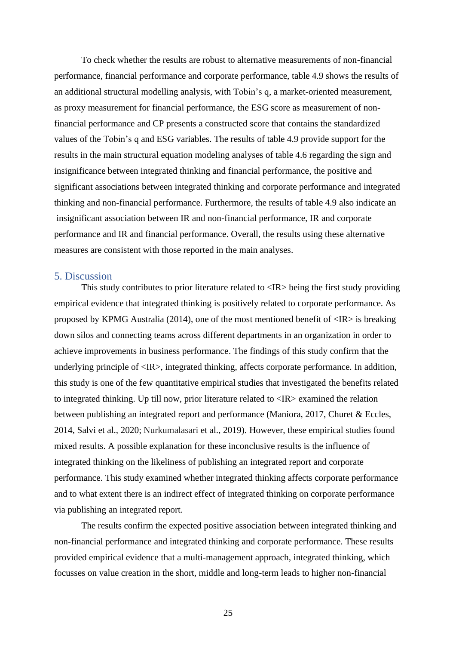To check whether the results are robust to alternative measurements of non-financial performance, financial performance and corporate performance, table 4.9 shows the results of an additional structural modelling analysis, with Tobin's q, a market-oriented measurement, as proxy measurement for financial performance, the ESG score as measurement of nonfinancial performance and CP presents a constructed score that contains the standardized values of the Tobin's q and ESG variables. The results of table 4.9 provide support for the results in the main structural equation modeling analyses of table 4.6 regarding the sign and insignificance between integrated thinking and financial performance, the positive and significant associations between integrated thinking and corporate performance and integrated thinking and non-financial performance. Furthermore, the results of table 4.9 also indicate an insignificant association between IR and non-financial performance, IR and corporate performance and IR and financial performance. Overall, the results using these alternative measures are consistent with those reported in the main analyses.

#### <span id="page-25-0"></span>5. Discussion

This study contributes to prior literature related to <IR> being the first study providing empirical evidence that integrated thinking is positively related to corporate performance. As proposed by KPMG Australia (2014), one of the most mentioned benefit of  $\langle IR \rangle$  is breaking down silos and connecting teams across different departments in an organization in order to achieve improvements in business performance. The findings of this study confirm that the underlying principle of <IR>, integrated thinking, affects corporate performance. In addition, this study is one of the few quantitative empirical studies that investigated the benefits related to integrated thinking. Up till now, prior literature related to <IR> examined the relation between publishing an integrated report and performance (Maniora, 2017, Churet & Eccles, 2014, Salvi et al., 2020; Nurkumalasari et al., 2019). However, these empirical studies found mixed results. A possible explanation for these inconclusive results is the influence of integrated thinking on the likeliness of publishing an integrated report and corporate performance. This study examined whether integrated thinking affects corporate performance and to what extent there is an indirect effect of integrated thinking on corporate performance via publishing an integrated report.

The results confirm the expected positive association between integrated thinking and non-financial performance and integrated thinking and corporate performance. These results provided empirical evidence that a multi-management approach, integrated thinking, which focusses on value creation in the short, middle and long-term leads to higher non-financial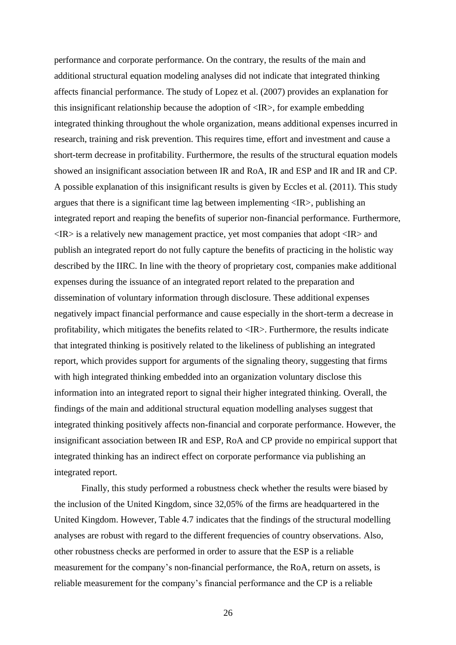performance and corporate performance. On the contrary, the results of the main and additional structural equation modeling analyses did not indicate that integrated thinking affects financial performance. The study of Lopez et al. (2007) provides an explanation for this insignificant relationship because the adoption of <IR>, for example embedding integrated thinking throughout the whole organization, means additional expenses incurred in research, training and risk prevention. This requires time, effort and investment and cause a short-term decrease in profitability. Furthermore, the results of the structural equation models showed an insignificant association between IR and RoA, IR and ESP and IR and IR and CP. A possible explanation of this insignificant results is given by Eccles et al. (2011). This study argues that there is a significant time lag between implementing <IR>, publishing an integrated report and reaping the benefits of superior non-financial performance. Furthermore,  $\langle IR \rangle$  is a relatively new management practice, yet most companies that adopt  $\langle IR \rangle$  and publish an integrated report do not fully capture the benefits of practicing in the holistic way described by the IIRC. In line with the theory of proprietary cost, companies make additional expenses during the issuance of an integrated report related to the preparation and dissemination of voluntary information through disclosure. These additional expenses negatively impact financial performance and cause especially in the short-term a decrease in profitability, which mitigates the benefits related to <IR>. Furthermore, the results indicate that integrated thinking is positively related to the likeliness of publishing an integrated report, which provides support for arguments of the signaling theory, suggesting that firms with high integrated thinking embedded into an organization voluntary disclose this information into an integrated report to signal their higher integrated thinking. Overall, the findings of the main and additional structural equation modelling analyses suggest that integrated thinking positively affects non-financial and corporate performance. However, the insignificant association between IR and ESP, RoA and CP provide no empirical support that integrated thinking has an indirect effect on corporate performance via publishing an integrated report.

Finally, this study performed a robustness check whether the results were biased by the inclusion of the United Kingdom, since 32,05% of the firms are headquartered in the United Kingdom. However, Table 4.7 indicates that the findings of the structural modelling analyses are robust with regard to the different frequencies of country observations. Also, other robustness checks are performed in order to assure that the ESP is a reliable measurement for the company's non-financial performance, the RoA, return on assets, is reliable measurement for the company's financial performance and the CP is a reliable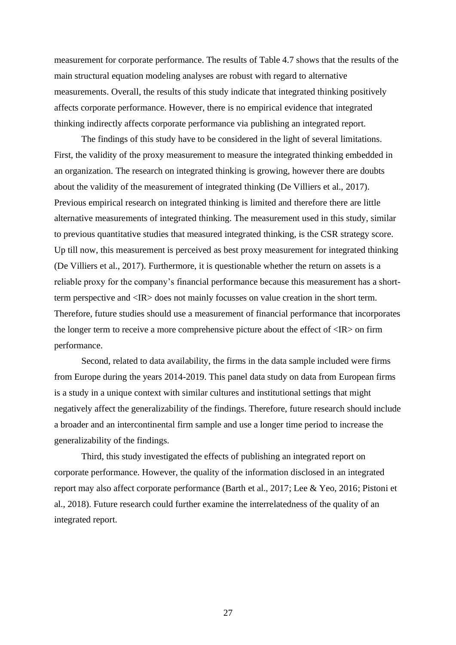measurement for corporate performance. The results of Table 4.7 shows that the results of the main structural equation modeling analyses are robust with regard to alternative measurements. Overall, the results of this study indicate that integrated thinking positively affects corporate performance. However, there is no empirical evidence that integrated thinking indirectly affects corporate performance via publishing an integrated report.

The findings of this study have to be considered in the light of several limitations. First, the validity of the proxy measurement to measure the integrated thinking embedded in an organization. The research on integrated thinking is growing, however there are doubts about the validity of the measurement of integrated thinking (De Villiers et al., 2017). Previous empirical research on integrated thinking is limited and therefore there are little alternative measurements of integrated thinking. The measurement used in this study, similar to previous quantitative studies that measured integrated thinking, is the CSR strategy score. Up till now, this measurement is perceived as best proxy measurement for integrated thinking (De Villiers et al., 2017). Furthermore, it is questionable whether the return on assets is a reliable proxy for the company's financial performance because this measurement has a shortterm perspective and <IR> does not mainly focusses on value creation in the short term. Therefore, future studies should use a measurement of financial performance that incorporates the longer term to receive a more comprehensive picture about the effect of  $\langle IR \rangle$  on firm performance.

Second, related to data availability, the firms in the data sample included were firms from Europe during the years 2014-2019. This panel data study on data from European firms is a study in a unique context with similar cultures and institutional settings that might negatively affect the generalizability of the findings. Therefore, future research should include a broader and an intercontinental firm sample and use a longer time period to increase the generalizability of the findings.

Third, this study investigated the effects of publishing an integrated report on corporate performance. However, the quality of the information disclosed in an integrated report may also affect corporate performance (Barth et al., 2017; Lee & Yeo, 2016; Pistoni et al., 2018). Future research could further examine the interrelatedness of the quality of an integrated report.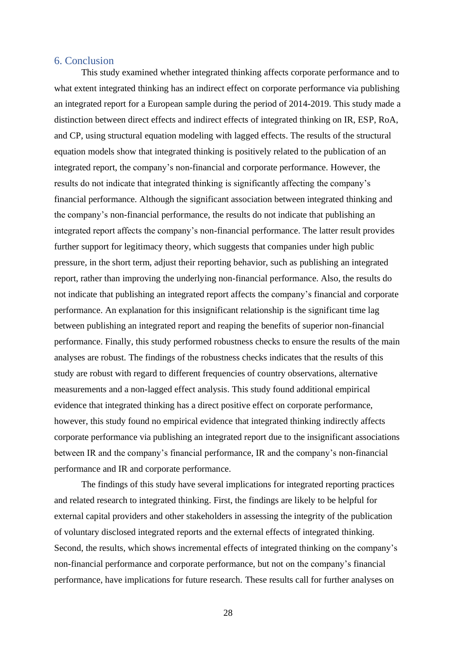#### <span id="page-28-0"></span>6. Conclusion

This study examined whether integrated thinking affects corporate performance and to what extent integrated thinking has an indirect effect on corporate performance via publishing an integrated report for a European sample during the period of 2014-2019. This study made a distinction between direct effects and indirect effects of integrated thinking on IR, ESP, RoA, and CP, using structural equation modeling with lagged effects. The results of the structural equation models show that integrated thinking is positively related to the publication of an integrated report, the company's non-financial and corporate performance. However, the results do not indicate that integrated thinking is significantly affecting the company's financial performance. Although the significant association between integrated thinking and the company's non-financial performance, the results do not indicate that publishing an integrated report affects the company's non-financial performance. The latter result provides further support for legitimacy theory, which suggests that companies under high public pressure, in the short term, adjust their reporting behavior, such as publishing an integrated report, rather than improving the underlying non-financial performance. Also, the results do not indicate that publishing an integrated report affects the company's financial and corporate performance. An explanation for this insignificant relationship is the significant time lag between publishing an integrated report and reaping the benefits of superior non-financial performance. Finally, this study performed robustness checks to ensure the results of the main analyses are robust. The findings of the robustness checks indicates that the results of this study are robust with regard to different frequencies of country observations, alternative measurements and a non-lagged effect analysis. This study found additional empirical evidence that integrated thinking has a direct positive effect on corporate performance, however, this study found no empirical evidence that integrated thinking indirectly affects corporate performance via publishing an integrated report due to the insignificant associations between IR and the company's financial performance, IR and the company's non-financial performance and IR and corporate performance.

The findings of this study have several implications for integrated reporting practices and related research to integrated thinking. First, the findings are likely to be helpful for external capital providers and other stakeholders in assessing the integrity of the publication of voluntary disclosed integrated reports and the external effects of integrated thinking. Second, the results, which shows incremental effects of integrated thinking on the company's non-financial performance and corporate performance, but not on the company's financial performance, have implications for future research. These results call for further analyses on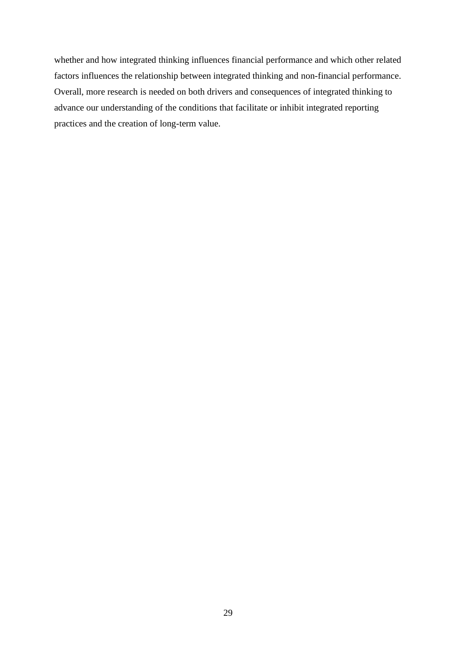whether and how integrated thinking influences financial performance and which other related factors influences the relationship between integrated thinking and non-financial performance. Overall, more research is needed on both drivers and consequences of integrated thinking to advance our understanding of the conditions that facilitate or inhibit integrated reporting practices and the creation of long-term value.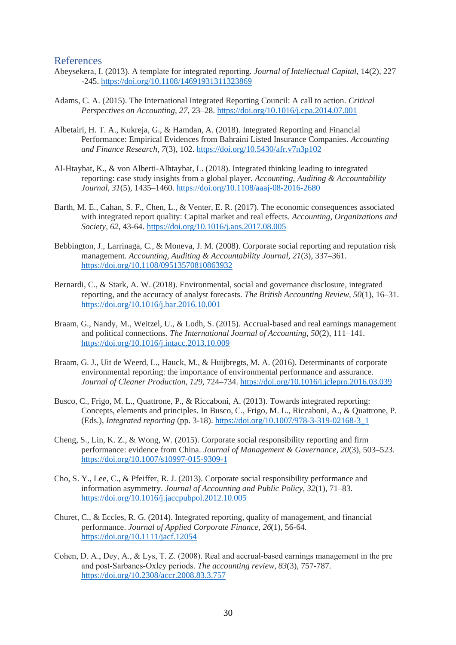#### <span id="page-30-0"></span>References

- Abeysekera, I. (2013). A template for integrated reporting. *Journal of Intellectual Capital*, 14(2), 227 -245.<https://doi.org/10.1108/14691931311323869>
- Adams, C. A. (2015). The International Integrated Reporting Council: A call to action. *Critical Perspectives on Accounting, 27*, 23–28.<https://doi.org/10.1016/j.cpa.2014.07.001>
- Albetairi, H. T. A., Kukreja, G., & Hamdan, A. (2018). Integrated Reporting and Financial Performance: Empirical Evidences from Bahraini Listed Insurance Companies. *Accounting and Finance Research, 7*(3), 102[. https://doi.org/10.5430/afr.v7n3p102](https://doi.org/10.5430/afr.v7n3p102)
- Al-Htaybat, K., & von Alberti-Alhtaybat, L. (2018). Integrated thinking leading to integrated reporting: case study insights from a global player. *Accounting, Auditing & Accountability Journal, 31*(5), 1435–1460.<https://doi.org/10.1108/aaaj-08-2016-2680>
- Barth, M. E., Cahan, S. F., Chen, L., & Venter, E. R. (2017). The economic consequences associated with integrated report quality: Capital market and real effects. *Accounting, Organizations and Society*, *62*, 43-64. <https://doi.org/10.1016/j.aos.2017.08.005>
- Bebbington, J., Larrinaga, C., & Moneva, J. M. (2008). Corporate social reporting and reputation risk management. *Accounting, Auditing & Accountability Journal, 21*(3), 337–361. <https://doi.org/10.1108/09513570810863932>
- Bernardi, C., & Stark, A. W. (2018). Environmental, social and governance disclosure, integrated reporting, and the accuracy of analyst forecasts. *The British Accounting Review, 50*(1), 16–31. <https://doi.org/10.1016/j.bar.2016.10.001>
- Braam, G., Nandy, M., Weitzel, U., & Lodh, S. (2015). Accrual-based and real earnings management and political connections. *The International Journal of Accounting, 50*(2), 111–141. <https://doi.org/10.1016/j.intacc.2013.10.009>
- Braam, G. J., Uit de Weerd, L., Hauck, M., & Huijbregts, M. A. (2016). Determinants of corporate environmental reporting: the importance of environmental performance and assurance. *Journal of Cleaner Production, 129*, 724–734[. https://doi.org/10.1016/j.jclepro.2016.03.039](https://doi.org/10.1016/j.jclepro.2016.03.039)
- Busco, C., Frigo, M. L., Quattrone, P., & Riccaboni, A. (2013). Towards integrated reporting: Concepts, elements and principles. In Busco, C., Frigo, M. L., Riccaboni, A., & Quattrone, P. (Eds.), *Integrated reporting* (pp. 3-18)[. https://doi.org/10.1007/978-3-319-02168-3\\_1](https://doi.org/10.1007/978-3-319-02168-3_1)
- Cheng, S., Lin, K. Z., & Wong, W. (2015). Corporate social responsibility reporting and firm performance: evidence from China. *Journal of Management & Governance, 20*(3), 503–523. <https://doi.org/10.1007/s10997-015-9309-1>
- Cho, S. Y., Lee, C., & Pfeiffer, R. J. (2013). Corporate social responsibility performance and information asymmetry. *Journal of Accounting and Public Policy, 32*(1), 71–83. <https://doi.org/10.1016/j.jaccpubpol.2012.10.005>
- Churet, C., & Eccles, R. G. (2014). Integrated reporting, quality of management, and financial performance. *Journal of Applied Corporate Finance*, *26*(1), 56-64. <https://doi.org/10.1111/jacf.12054>
- Cohen, D. A., Dey, A., & Lys, T. Z. (2008). Real and accrual‐based earnings management in the pre and post‐Sarbanes‐Oxley periods. *The accounting review*, *83*(3), 757-787. <https://doi.org/10.2308/accr.2008.83.3.757>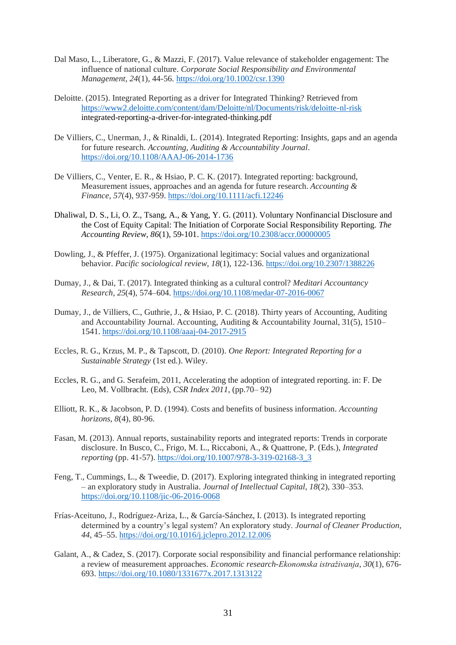- Dal Maso, L., Liberatore, G., & Mazzi, F. (2017). Value relevance of stakeholder engagement: The influence of national culture. *Corporate Social Responsibility and Environmental Management*, *24*(1), 44-56. <https://doi.org/10.1002/csr.1390>
- Deloitte. (2015). Integrated Reporting as a driver for Integrated Thinking? Retrieved from <https://www2.deloitte.com/content/dam/Deloitte/nl/Documents/risk/deloitte-nl-risk> integrated-reporting-a-driver-for-integrated-thinking.pdf
- De Villiers, C., Unerman, J., & Rinaldi, L. (2014). Integrated Reporting: Insights, gaps and an agenda for future research. *Accounting, Auditing & Accountability Journal*. <https://doi.org/10.1108/AAAJ-06-2014-1736>
- De Villiers, C., Venter, E. R., & Hsiao, P. C. K. (2017). Integrated reporting: background, Measurement issues, approaches and an agenda for future research. *Accounting & Finance*, *57*(4), 937-959. <https://doi.org/10.1111/acfi.12246>
- Dhaliwal, D. S., Li, O. Z., Tsang, A., & Yang, Y. G. (2011). Voluntary Nonfinancial Disclosure and the Cost of Equity Capital: The Initiation of Corporate Social Responsibility Reporting. *The Accounting Review*, *86*(1), 59-101.<https://doi.org/10.2308/accr.00000005>
- Dowling, J., & Pfeffer, J. (1975). Organizational legitimacy: Social values and organizational behavior. *Pacific sociological review*, *18*(1), 122-136. <https://doi.org/10.2307/1388226>
- Dumay, J., & Dai, T. (2017). Integrated thinking as a cultural control? *Meditari Accountancy Research, 25*(4), 574–604.<https://doi.org/10.1108/medar-07-2016-0067>
- Dumay, J., de Villiers, C., Guthrie, J., & Hsiao, P. C. (2018). Thirty years of Accounting, Auditing and Accountability Journal. Accounting, Auditing & Accountability Journal, 31(5), 1510– 1541.<https://doi.org/10.1108/aaaj-04-2017-2915>
- Eccles, R. G., Krzus, M. P., & Tapscott, D. (2010). *One Report: Integrated Reporting for a Sustainable Strategy* (1st ed.). Wiley.
- Eccles, R. G., and G. Serafeim, 2011, Accelerating the adoption of integrated reporting. in: F. De Leo, M. Vollbracht. (Eds), *CSR Index 2011*, (pp.70– 92)
- Elliott, R. K., & Jacobson, P. D. (1994). Costs and benefits of business information. *Accounting horizons*, *8*(4), 80-96.
- Fasan, M. (2013). Annual reports, sustainability reports and integrated reports: Trends in corporate disclosure. In Busco, C., Frigo, M. L., Riccaboni, A., & Quattrone, P. (Eds.), *Integrated reporting* (pp. 41-57)[. https://doi.org/10.1007/978-3-319-02168-3\\_3](https://doi.org/10.1007/978-3-319-02168-3_3)
- Feng, T., Cummings, L., & Tweedie, D. (2017). Exploring integrated thinking in integrated reporting – an exploratory study in Australia. *Journal of Intellectual Capital, 18*(2), 330–353. <https://doi.org/10.1108/jic-06-2016-0068>
- Frías-Aceituno, J., Rodríguez-Ariza, L., & García-Sánchez, I. (2013). Is integrated reporting determined by a country's legal system? An exploratory study. *Journal of Cleaner Production, 44*, 45–55.<https://doi.org/10.1016/j.jclepro.2012.12.006>
- Galant, A., & Cadez, S. (2017). Corporate social responsibility and financial performance relationship: a review of measurement approaches. *Economic research-Ekonomska istraživanja*, *30*(1), 676- 693. <https://doi.org/10.1080/1331677x.2017.1313122>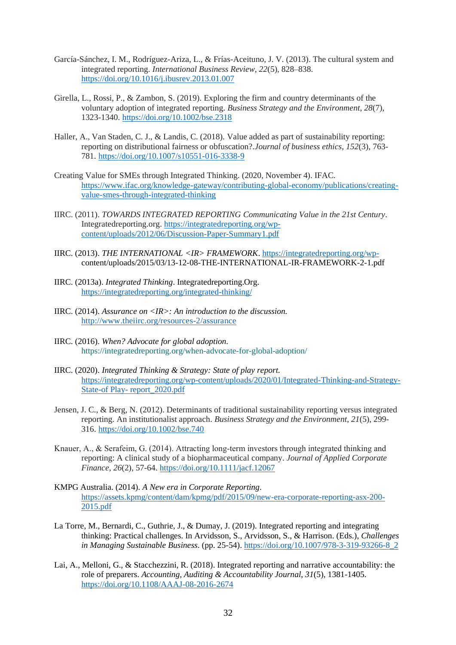- García-Sánchez, I. M., Rodríguez-Ariza, L., & Frías-Aceituno, J. V. (2013). The cultural system and integrated reporting. *International Business Review, 22*(5), 828–838. <https://doi.org/10.1016/j.ibusrev.2013.01.007>
- Girella, L., Rossi, P., & Zambon, S. (2019). Exploring the firm and country determinants of the voluntary adoption of integrated reporting. *Business Strategy and the Environment*, *28*(7), 1323-1340. <https://doi.org/10.1002/bse.2318>
- Haller, A., Van Staden, C. J., & Landis, C. (2018). Value added as part of sustainability reporting: reporting on distributional fairness or obfuscation?.*Journal of business ethics*, *152*(3), 763- 781. <https://doi.org/10.1007/s10551-016-3338-9>
- Creating Value for SMEs through Integrated Thinking. (2020, November 4). IFAC. [https://www.ifac.org/knowledge-gateway/contributing-global-economy/publications/creating](https://www.ifac.org/knowledge-gateway/contributing-global-economy/publications/creating-value-smes-through-integrated-thinking)[value-smes-through-integrated-thinking](https://www.ifac.org/knowledge-gateway/contributing-global-economy/publications/creating-value-smes-through-integrated-thinking)
- IIRC. (2011). *TOWARDS INTEGRATED REPORTING Communicating Value in the 21st Century*. Integratedreporting.org. [https://integratedreporting.org/wp](https://integratedreporting.org/wp-content/uploads/2012/06/Discussion-Paper-Summary1.pdf)[content/uploads/2012/06/Discussion-Paper-Summary1.pdf](https://integratedreporting.org/wp-content/uploads/2012/06/Discussion-Paper-Summary1.pdf)
- IIRC. (2013). *THE INTERNATIONAL <IR> FRAMEWORK*. [https://integratedreporting.org/wp](https://integratedreporting.org/wp-)content/uploads/2015/03/13-12-08-THE-INTERNATIONAL-IR-FRAMEWORK-2-1.pdf
- IIRC. (2013a). *Integrated Thinking*. Integratedreporting.Org. <https://integratedreporting.org/integrated-thinking/>
- IIRC. (2014). *Assurance on <IR>: An introduction to the discussion.* <http://www.theiirc.org/resources-2/assurance>
- IIRC. (2016). *When? Advocate for global adoption.* <https://integratedreporting.org/when-advocate-for-global-adoption/>
- IIRC. (2020). *Integrated Thinking & Strategy: State of play report.* [https://integratedreporting.org/wp-content/uploads/2020/01/Integrated-Thinking-and-Strategy-](https://integratedreporting.org/wp-content/uploads/2020/01/Integrated-Thinking-and-Strategy-State-of%20Play-%20report_2020.pdf)State-of Play- [report\\_2020.pdf](https://integratedreporting.org/wp-content/uploads/2020/01/Integrated-Thinking-and-Strategy-State-of%20Play-%20report_2020.pdf)
- Jensen, J. C., & Berg, N. (2012). Determinants of traditional sustainability reporting versus integrated reporting. An institutionalist approach. *Business Strategy and the Environment*, *21*(5), 299- 316. <https://doi.org/10.1002/bse.740>
- Knauer, A., & Serafeim, G. (2014). Attracting long‐term investors through integrated thinking and reporting: A clinical study of a biopharmaceutical company. *Journal of Applied Corporate Finance*, *26*(2), 57-64. <https://doi.org/10.1111/jacf.12067>
- KMPG Australia. (2014). *A New era in Corporate Reporting*. [https://assets.kpmg/content/dam/kpmg/pdf/2015/09/new-era-corporate-reporting-asx-200-](https://assets.kpmg/content/dam/kpmg/pdf/2015/09/new-era-corporate-reporting-asx-200-2015.pdf) [2015.pdf](https://assets.kpmg/content/dam/kpmg/pdf/2015/09/new-era-corporate-reporting-asx-200-2015.pdf)
- La Torre, M., Bernardi, C., Guthrie, J., & Dumay, J. (2019). Integrated reporting and integrating thinking: Practical challenges. In Arvidsson, S., Arvidsson, S., & Harrison. (Eds.), *Challenges in Managing Sustainable Business*. (pp. 25-54)[. https://doi.org/10.1007/978-3-319-93266-8\\_2](https://doi.org/10.1007/978-3-319-93266-8_2)
- Lai, A., Melloni, G., & Stacchezzini, R. (2018). Integrated reporting and narrative accountability: the role of preparers. *Accounting, Auditing & Accountability Journal*, *31*(5), 1381-1405. <https://doi.org/10.1108/AAAJ-08-2016-2674>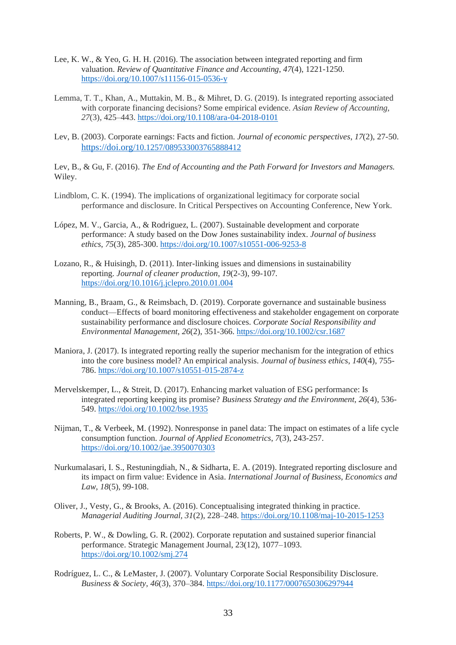- Lee, K. W., & Yeo, G. H. H. (2016). The association between integrated reporting and firm valuation. *Review of Quantitative Finance and Accounting*, *47*(4), 1221-1250. <https://doi.org/10.1007/s11156-015-0536-y>
- Lemma, T. T., Khan, A., Muttakin, M. B., & Mihret, D. G. (2019). Is integrated reporting associated with corporate financing decisions? Some empirical evidence. *Asian Review of Accounting, 27*(3), 425–443[. https://doi.org/10.1108/ara-04-2018-0101](https://doi.org/10.1108/ara-04-2018-0101)
- Lev, B. (2003). Corporate earnings: Facts and fiction. *Journal of economic perspectives*, *17*(2), 27-50. [https://doi.org/](https://doi.org/10.1257/089533003765888412)[10.1257/089533003765888412](https://doi.org/10.1257/089533003765888412)

Lev, B., & Gu, F. (2016). *The End of Accounting and the Path Forward for Investors and Managers.*  Wiley.

- Lindblom, C. K. (1994). The implications of organizational legitimacy for corporate social performance and disclosure. In Critical Perspectives on Accounting Conference, New York.
- López, M. V., Garcia, A., & Rodriguez, L. (2007). Sustainable development and corporate performance: A study based on the Dow Jones sustainability index. *Journal of business ethics*, *75*(3), 285-300. <https://doi.org/10.1007/s10551-006-9253-8>
- Lozano, R., & Huisingh, D. (2011). Inter-linking issues and dimensions in sustainability reporting. *Journal of cleaner production*, *19*(2-3), 99-107. <https://doi.org/10.1016/j.jclepro.2010.01.004>
- Manning, B., Braam, G., & Reimsbach, D. (2019). Corporate governance and sustainable business conduct—Effects of board monitoring effectiveness and stakeholder engagement on corporate sustainability performance and disclosure choices. *Corporate Social Responsibility and Environmental Management*, *26*(2), 351-366. <https://doi.org/10.1002/csr.1687>
- Maniora, J. (2017). Is integrated reporting really the superior mechanism for the integration of ethics into the core business model? An empirical analysis. *Journal of business ethics*, *140*(4), 755- 786. <https://doi.org/10.1007/s10551-015-2874-z>
- Mervelskemper, L., & Streit, D. (2017). Enhancing market valuation of ESG performance: Is integrated reporting keeping its promise? *Business Strategy and the Environment*, *26*(4), 536- 549. <https://doi.org/10.1002/bse.1935>
- Nijman, T., & Verbeek, M. (1992). Nonresponse in panel data: The impact on estimates of a life cycle consumption function. *Journal of Applied Econometrics*, *7*(3), 243-257. <https://doi.org/10.1002/jae.3950070303>
- Nurkumalasari, I. S., Restuningdiah, N., & Sidharta, E. A. (2019). Integrated reporting disclosure and its impact on firm value: Evidence in Asia. *International Journal of Business, Economics and Law*, *18*(5), 99-108.
- Oliver, J., Vesty, G., & Brooks, A. (2016). Conceptualising integrated thinking in practice. *Managerial Auditing Journal, 31*(2), 228–248[. https://doi.org/10.1108/maj-10-2015-1253](https://doi.org/10.1108/maj-10-2015-1253)
- Roberts, P. W., & Dowling, G. R. (2002). Corporate reputation and sustained superior financial performance. Strategic Management Journal, 23(12), 1077–1093. <https://doi.org/10.1002/smj.274>
- Rodríguez, L. C., & LeMaster, J. (2007). Voluntary Corporate Social Responsibility Disclosure. *Business & Society, 46*(3), 370–384[. https://doi.org/10.1177/0007650306297944](https://doi.org/10.1177/0007650306297944)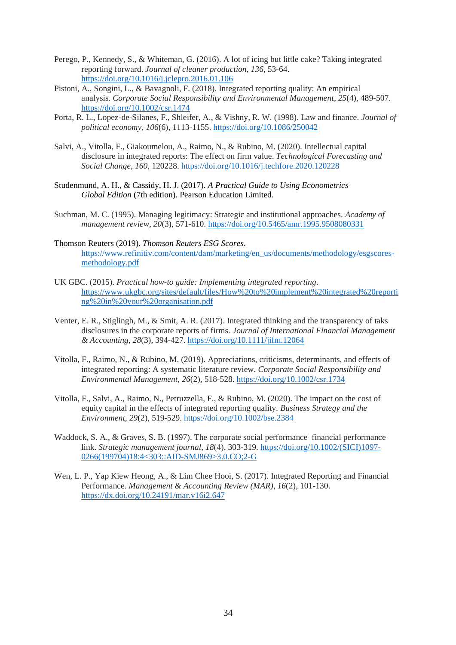- Perego, P., Kennedy, S., & Whiteman, G. (2016). A lot of icing but little cake? Taking integrated reporting forward. *Journal of cleaner production*, *136*, 53-64. <https://doi.org/10.1016/j.jclepro.2016.01.106>
- Pistoni, A., Songini, L., & Bavagnoli, F. (2018). Integrated reporting quality: An empirical analysis. *Corporate Social Responsibility and Environmental Management*, *25*(4), 489-507. <https://doi.org/10.1002/csr.1474>
- Porta, R. L., Lopez-de-Silanes, F., Shleifer, A., & Vishny, R. W. (1998). Law and finance. *Journal of political economy*, *106*(6), 1113-1155. <https://doi.org/10.1086/250042>
- Salvi, A., Vitolla, F., Giakoumelou, A., Raimo, N., & Rubino, M. (2020). Intellectual capital disclosure in integrated reports: The effect on firm value. *Technological Forecasting and Social Change*, *160*, 120228. <https://doi.org/10.1016/j.techfore.2020.120228>
- Studenmund, A. H., & Cassidy, H. J. (2017). *A Practical Guide to Using Econometrics Global Edition* (7th edition). Pearson Education Limited.
- Suchman, M. C. (1995). Managing legitimacy: Strategic and institutional approaches. *Academy of management review*, *20*(3), 571-610. <https://doi.org/10.5465/amr.1995.9508080331>
- Thomson Reuters (2019). *Thomson Reuters ESG Scores*. [https://www.refinitiv.com/content/dam/marketing/en\\_us/documents/methodology/esgscores](https://www.refinitiv.com/content/dam/marketing/en_us/documents/methodology/esgscores-methodology.pdf)[methodology.pdf](https://www.refinitiv.com/content/dam/marketing/en_us/documents/methodology/esgscores-methodology.pdf)
- UK GBC. (2015). *Practical how-to guide: Implementing integrated reporting*. [https://www.ukgbc.org/sites/default/files/How%20to%20implement%20integrated%20reporti](https://www.ukgbc.org/sites/default/files/How%20to%20implement%20integrated%20reporting%20in%20your%20organisation.pdf) [ng%20in%20your%20organisation.pdf](https://www.ukgbc.org/sites/default/files/How%20to%20implement%20integrated%20reporting%20in%20your%20organisation.pdf)
- Venter, E. R., Stiglingh, M., & Smit, A. R. (2017). Integrated thinking and the transparency of taks disclosures in the corporate reports of firms. *Journal of International Financial Management & Accounting*, *28*(3), 394-427. <https://doi.org/10.1111/jifm.12064>
- Vitolla, F., Raimo, N., & Rubino, M. (2019). Appreciations, criticisms, determinants, and effects of integrated reporting: A systematic literature review. *Corporate Social Responsibility and Environmental Management*, *26*(2), 518-528. <https://doi.org/10.1002/csr.1734>
- Vitolla, F., Salvi, A., Raimo, N., Petruzzella, F., & Rubino, M. (2020). The impact on the cost of equity capital in the effects of integrated reporting quality. *Business Strategy and the Environment*, *29*(2), 519-529. <https://doi.org/10.1002/bse.2384>
- Waddock, S. A., & Graves, S. B. (1997). The corporate social performance–financial performance link. *Strategic management journal*, *18*(4), 303-319. [https://doi.org/10.1002/\(SICI\)1097-](https://doi.org/10.1002/(SICI)1097-0266(199704)18:4%3c303::AID-SMJ869%3e3.0.CO;2-G) [0266\(199704\)18:4<303::AID-SMJ869>3.0.CO;2-G](https://doi.org/10.1002/(SICI)1097-0266(199704)18:4%3c303::AID-SMJ869%3e3.0.CO;2-G)
- Wen, L. P., Yap Kiew Heong, A., & Lim Chee Hooi, S. (2017). Integrated Reporting and Financial Performance. *Management & Accounting Review (MAR)*, *16*(2), 101-130. <https://dx.doi.org/10.24191/mar.v16i2.647>